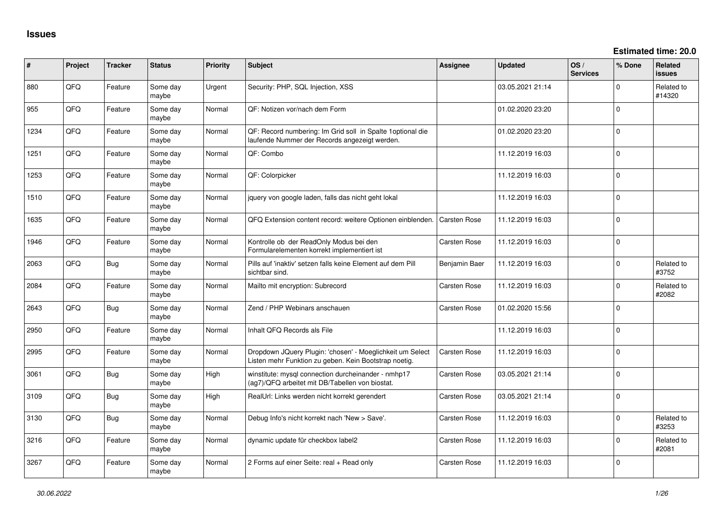**Estimated time: 20.0**

| #    | Project | <b>Tracker</b> | <b>Status</b>     | <b>Priority</b> | <b>Subject</b>                                                                                                     | Assignee            | <b>Updated</b>   | OS/<br><b>Services</b> | % Done         | Related<br><b>issues</b> |
|------|---------|----------------|-------------------|-----------------|--------------------------------------------------------------------------------------------------------------------|---------------------|------------------|------------------------|----------------|--------------------------|
| 880  | QFQ     | Feature        | Some day<br>maybe | Urgent          | Security: PHP, SQL Injection, XSS                                                                                  |                     | 03.05.2021 21:14 |                        | $\Omega$       | Related to<br>#14320     |
| 955  | QFQ     | Feature        | Some day<br>maybe | Normal          | QF: Notizen vor/nach dem Form                                                                                      |                     | 01.02.2020 23:20 |                        | $\Omega$       |                          |
| 1234 | QFQ     | Feature        | Some day<br>maybe | Normal          | QF: Record numbering: Im Grid soll in Spalte 1 optional die<br>laufende Nummer der Records angezeigt werden.       |                     | 01.02.2020 23:20 |                        | $\Omega$       |                          |
| 1251 | QFQ     | Feature        | Some day<br>maybe | Normal          | QF: Combo                                                                                                          |                     | 11.12.2019 16:03 |                        | $\Omega$       |                          |
| 1253 | QFQ     | Feature        | Some day<br>maybe | Normal          | QF: Colorpicker                                                                                                    |                     | 11.12.2019 16:03 |                        | $\Omega$       |                          |
| 1510 | QFQ     | Feature        | Some day<br>maybe | Normal          | jquery von google laden, falls das nicht geht lokal                                                                |                     | 11.12.2019 16:03 |                        | $\Omega$       |                          |
| 1635 | QFQ     | Feature        | Some day<br>maybe | Normal          | QFQ Extension content record: weitere Optionen einblenden.                                                         | <b>Carsten Rose</b> | 11.12.2019 16:03 |                        | $\Omega$       |                          |
| 1946 | QFQ     | Feature        | Some day<br>maybe | Normal          | Kontrolle ob der ReadOnly Modus bei den<br>Formularelementen korrekt implementiert ist                             | Carsten Rose        | 11.12.2019 16:03 |                        | $\overline{0}$ |                          |
| 2063 | QFQ     | <b>Bug</b>     | Some day<br>maybe | Normal          | Pills auf 'inaktiv' setzen falls keine Element auf dem Pill<br>sichtbar sind.                                      | Benjamin Baer       | 11.12.2019 16:03 |                        | $\Omega$       | Related to<br>#3752      |
| 2084 | QFQ     | Feature        | Some day<br>maybe | Normal          | Mailto mit encryption: Subrecord                                                                                   | <b>Carsten Rose</b> | 11.12.2019 16:03 |                        | $\Omega$       | Related to<br>#2082      |
| 2643 | QFQ     | <b>Bug</b>     | Some day<br>maybe | Normal          | Zend / PHP Webinars anschauen                                                                                      | <b>Carsten Rose</b> | 01.02.2020 15:56 |                        | $\Omega$       |                          |
| 2950 | QFQ     | Feature        | Some day<br>maybe | Normal          | Inhalt QFQ Records als File                                                                                        |                     | 11.12.2019 16:03 |                        | $\Omega$       |                          |
| 2995 | QFQ     | Feature        | Some day<br>maybe | Normal          | Dropdown JQuery Plugin: 'chosen' - Moeglichkeit um Select<br>Listen mehr Funktion zu geben. Kein Bootstrap noetig. | Carsten Rose        | 11.12.2019 16:03 |                        | $\Omega$       |                          |
| 3061 | QFQ     | Bug            | Some day<br>maybe | High            | winstitute: mysql connection durcheinander - nmhp17<br>(ag7)/QFQ arbeitet mit DB/Tabellen von biostat.             | Carsten Rose        | 03.05.2021 21:14 |                        | $\Omega$       |                          |
| 3109 | QFQ     | <b>Bug</b>     | Some day<br>maybe | High            | RealUrl: Links werden nicht korrekt gerendert                                                                      | Carsten Rose        | 03.05.2021 21:14 |                        | $\Omega$       |                          |
| 3130 | QFQ     | <b>Bug</b>     | Some day<br>maybe | Normal          | Debug Info's nicht korrekt nach 'New > Save'.                                                                      | <b>Carsten Rose</b> | 11.12.2019 16:03 |                        | $\Omega$       | Related to<br>#3253      |
| 3216 | QFQ     | Feature        | Some day<br>maybe | Normal          | dynamic update für checkbox label2                                                                                 | <b>Carsten Rose</b> | 11.12.2019 16:03 |                        | $\Omega$       | Related to<br>#2081      |
| 3267 | QFQ     | Feature        | Some day<br>maybe | Normal          | 2 Forms auf einer Seite: real + Read only                                                                          | <b>Carsten Rose</b> | 11.12.2019 16:03 |                        | $\overline{0}$ |                          |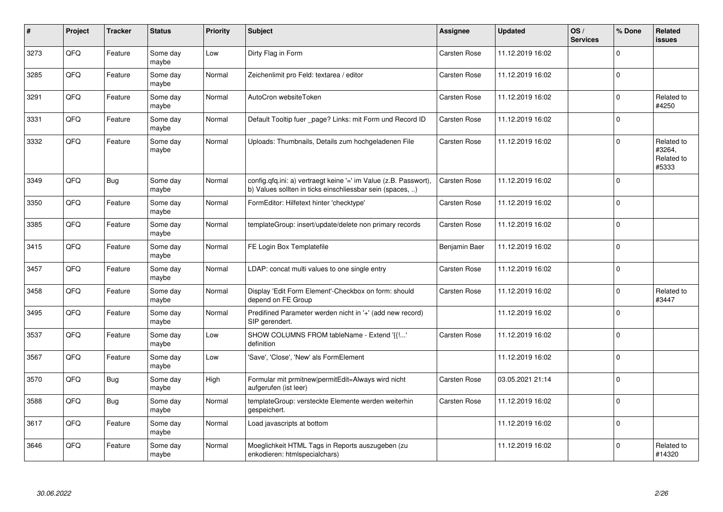| $\vert$ # | Project | <b>Tracker</b> | <b>Status</b>     | <b>Priority</b> | <b>Subject</b>                                                                                                                | <b>Assignee</b>     | <b>Updated</b>   | OS/<br><b>Services</b> | % Done      | Related<br><b>issues</b>                    |
|-----------|---------|----------------|-------------------|-----------------|-------------------------------------------------------------------------------------------------------------------------------|---------------------|------------------|------------------------|-------------|---------------------------------------------|
| 3273      | QFQ     | Feature        | Some day<br>maybe | Low             | Dirty Flag in Form                                                                                                            | <b>Carsten Rose</b> | 11.12.2019 16:02 |                        | $\Omega$    |                                             |
| 3285      | QFQ     | Feature        | Some day<br>maybe | Normal          | Zeichenlimit pro Feld: textarea / editor                                                                                      | Carsten Rose        | 11.12.2019 16:02 |                        | $\Omega$    |                                             |
| 3291      | QFQ     | Feature        | Some day<br>maybe | Normal          | AutoCron websiteToken                                                                                                         | <b>Carsten Rose</b> | 11.12.2019 16:02 |                        | $\Omega$    | Related to<br>#4250                         |
| 3331      | QFQ     | Feature        | Some day<br>maybe | Normal          | Default Tooltip fuer _page? Links: mit Form und Record ID                                                                     | <b>Carsten Rose</b> | 11.12.2019 16:02 |                        | $\Omega$    |                                             |
| 3332      | QFQ     | Feature        | Some day<br>maybe | Normal          | Uploads: Thumbnails, Details zum hochgeladenen File                                                                           | <b>Carsten Rose</b> | 11.12.2019 16:02 |                        | $\Omega$    | Related to<br>#3264,<br>Related to<br>#5333 |
| 3349      | QFQ     | Bug            | Some day<br>maybe | Normal          | config.qfq.ini: a) vertraegt keine '=' im Value (z.B. Passwort),<br>b) Values sollten in ticks einschliessbar sein (spaces, ) | <b>Carsten Rose</b> | 11.12.2019 16:02 |                        | $\Omega$    |                                             |
| 3350      | QFQ     | Feature        | Some day<br>maybe | Normal          | FormEditor: Hilfetext hinter 'checktype'                                                                                      | <b>Carsten Rose</b> | 11.12.2019 16:02 |                        | $\Omega$    |                                             |
| 3385      | QFQ     | Feature        | Some day<br>maybe | Normal          | templateGroup: insert/update/delete non primary records                                                                       | Carsten Rose        | 11.12.2019 16:02 |                        | $\Omega$    |                                             |
| 3415      | QFQ     | Feature        | Some day<br>maybe | Normal          | FE Login Box Templatefile                                                                                                     | Benjamin Baer       | 11.12.2019 16:02 |                        | $\Omega$    |                                             |
| 3457      | QFQ     | Feature        | Some day<br>maybe | Normal          | LDAP: concat multi values to one single entry                                                                                 | Carsten Rose        | 11.12.2019 16:02 |                        | $\mathbf 0$ |                                             |
| 3458      | QFQ     | Feature        | Some day<br>maybe | Normal          | Display 'Edit Form Element'-Checkbox on form: should<br>depend on FE Group                                                    | Carsten Rose        | 11.12.2019 16:02 |                        | $\Omega$    | Related to<br>#3447                         |
| 3495      | QFQ     | Feature        | Some day<br>maybe | Normal          | Predifined Parameter werden nicht in '+' (add new record)<br>SIP gerendert.                                                   |                     | 11.12.2019 16:02 |                        | $\Omega$    |                                             |
| 3537      | QFQ     | Feature        | Some day<br>maybe | Low             | SHOW COLUMNS FROM tableName - Extend '{{!'<br>definition                                                                      | Carsten Rose        | 11.12.2019 16:02 |                        | $\Omega$    |                                             |
| 3567      | QFQ     | Feature        | Some day<br>maybe | Low             | 'Save', 'Close', 'New' als FormElement                                                                                        |                     | 11.12.2019 16:02 |                        | $\Omega$    |                                             |
| 3570      | QFQ     | <b>Bug</b>     | Some day<br>maybe | High            | Formular mit prmitnew permitEdit=Always wird nicht<br>aufgerufen (ist leer)                                                   | <b>Carsten Rose</b> | 03.05.2021 21:14 |                        | $\Omega$    |                                             |
| 3588      | QFQ     | <b>Bug</b>     | Some day<br>maybe | Normal          | templateGroup: versteckte Elemente werden weiterhin<br>gespeichert.                                                           | <b>Carsten Rose</b> | 11.12.2019 16:02 |                        | $\Omega$    |                                             |
| 3617      | QFQ     | Feature        | Some day<br>maybe | Normal          | Load javascripts at bottom                                                                                                    |                     | 11.12.2019 16:02 |                        | $\Omega$    |                                             |
| 3646      | QFQ     | Feature        | Some day<br>maybe | Normal          | Moeglichkeit HTML Tags in Reports auszugeben (zu<br>enkodieren: htmlspecialchars)                                             |                     | 11.12.2019 16:02 |                        | $\Omega$    | Related to<br>#14320                        |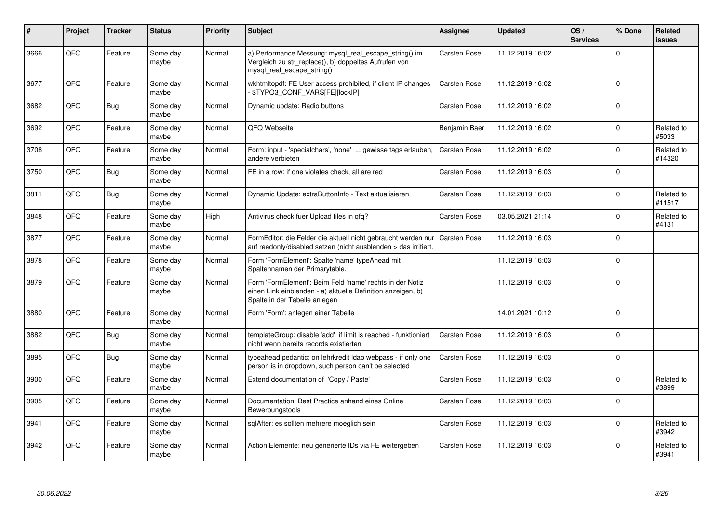| ∦    | Project | <b>Tracker</b> | <b>Status</b>     | <b>Priority</b> | <b>Subject</b>                                                                                                                                           | <b>Assignee</b>     | <b>Updated</b>   | OS/<br><b>Services</b> | % Done       | Related<br><b>issues</b> |
|------|---------|----------------|-------------------|-----------------|----------------------------------------------------------------------------------------------------------------------------------------------------------|---------------------|------------------|------------------------|--------------|--------------------------|
| 3666 | QFQ     | Feature        | Some day<br>maybe | Normal          | a) Performance Messung: mysql_real_escape_string() im<br>Vergleich zu str_replace(), b) doppeltes Aufrufen von<br>mysql real escape string()             | <b>Carsten Rose</b> | 11.12.2019 16:02 |                        | $\Omega$     |                          |
| 3677 | QFQ     | Feature        | Some day<br>maybe | Normal          | wkhtmltopdf: FE User access prohibited, if client IP changes<br>- \$TYPO3_CONF_VARS[FE][lockIP]                                                          | <b>Carsten Rose</b> | 11.12.2019 16:02 |                        | $\Omega$     |                          |
| 3682 | QFQ     | <b>Bug</b>     | Some day<br>maybe | Normal          | Dynamic update: Radio buttons                                                                                                                            | <b>Carsten Rose</b> | 11.12.2019 16:02 |                        | $\Omega$     |                          |
| 3692 | QFQ     | Feature        | Some day<br>maybe | Normal          | QFQ Webseite                                                                                                                                             | Benjamin Baer       | 11.12.2019 16:02 |                        | 0            | Related to<br>#5033      |
| 3708 | QFQ     | Feature        | Some day<br>maybe | Normal          | Form: input - 'specialchars', 'none'  gewisse tags erlauben,<br>andere verbieten                                                                         | <b>Carsten Rose</b> | 11.12.2019 16:02 |                        | $\mathbf 0$  | Related to<br>#14320     |
| 3750 | QFQ     | Bug            | Some day<br>maybe | Normal          | FE in a row: if one violates check, all are red                                                                                                          | <b>Carsten Rose</b> | 11.12.2019 16:03 |                        | $\Omega$     |                          |
| 3811 | QFQ     | <b>Bug</b>     | Some day<br>maybe | Normal          | Dynamic Update: extraButtonInfo - Text aktualisieren                                                                                                     | Carsten Rose        | 11.12.2019 16:03 |                        | $\Omega$     | Related to<br>#11517     |
| 3848 | QFQ     | Feature        | Some day<br>maybe | High            | Antivirus check fuer Upload files in qfq?                                                                                                                | <b>Carsten Rose</b> | 03.05.2021 21:14 |                        | $\Omega$     | Related to<br>#4131      |
| 3877 | QFQ     | Feature        | Some day<br>maybe | Normal          | FormEditor: die Felder die aktuell nicht gebraucht werden nur<br>auf readonly/disabled setzen (nicht ausblenden > das irritiert.                         | <b>Carsten Rose</b> | 11.12.2019 16:03 |                        | $\Omega$     |                          |
| 3878 | QFQ     | Feature        | Some day<br>maybe | Normal          | Form 'FormElement': Spalte 'name' typeAhead mit<br>Spaltennamen der Primarytable.                                                                        |                     | 11.12.2019 16:03 |                        | $\Omega$     |                          |
| 3879 | QFQ     | Feature        | Some day<br>maybe | Normal          | Form 'FormElement': Beim Feld 'name' rechts in der Notiz<br>einen Link einblenden - a) aktuelle Definition anzeigen, b)<br>Spalte in der Tabelle anlegen |                     | 11.12.2019 16:03 |                        | $\Omega$     |                          |
| 3880 | QFQ     | Feature        | Some day<br>maybe | Normal          | Form 'Form': anlegen einer Tabelle                                                                                                                       |                     | 14.01.2021 10:12 |                        | $\Omega$     |                          |
| 3882 | QFQ     | <b>Bug</b>     | Some day<br>maybe | Normal          | templateGroup: disable 'add' if limit is reached - funktioniert<br>nicht wenn bereits records existierten                                                | <b>Carsten Rose</b> | 11.12.2019 16:03 |                        | $\Omega$     |                          |
| 3895 | QFQ     | <b>Bug</b>     | Some day<br>maybe | Normal          | typeahead pedantic: on lehrkredit Idap webpass - if only one<br>person is in dropdown, such person can't be selected                                     | <b>Carsten Rose</b> | 11.12.2019 16:03 |                        | $\Omega$     |                          |
| 3900 | QFQ     | Feature        | Some day<br>maybe | Normal          | Extend documentation of 'Copy / Paste'                                                                                                                   | Carsten Rose        | 11.12.2019 16:03 |                        | <sup>0</sup> | Related to<br>#3899      |
| 3905 | QFQ     | Feature        | Some day<br>maybe | Normal          | Documentation: Best Practice anhand eines Online<br>Bewerbungstools                                                                                      | <b>Carsten Rose</b> | 11.12.2019 16:03 |                        | $\Omega$     |                          |
| 3941 | QFQ     | Feature        | Some day<br>maybe | Normal          | sqlAfter: es sollten mehrere moeglich sein                                                                                                               | Carsten Rose        | 11.12.2019 16:03 |                        | U            | Related to<br>#3942      |
| 3942 | QFQ     | Feature        | Some day<br>maybe | Normal          | Action Elemente: neu generierte IDs via FE weitergeben                                                                                                   | <b>Carsten Rose</b> | 11.12.2019 16:03 |                        | $\Omega$     | Related to<br>#3941      |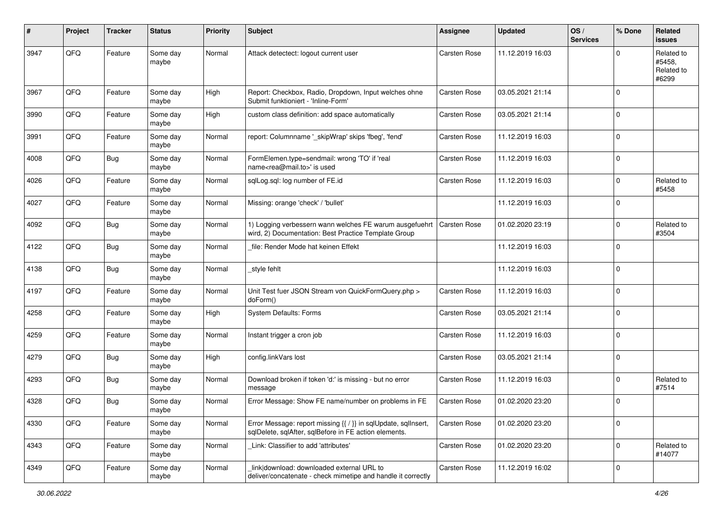| #    | Project | <b>Tracker</b> | <b>Status</b>     | <b>Priority</b> | <b>Subject</b>                                                                                                          | <b>Assignee</b>     | <b>Updated</b>   | OS/<br><b>Services</b> | % Done      | Related<br><b>issues</b>                    |
|------|---------|----------------|-------------------|-----------------|-------------------------------------------------------------------------------------------------------------------------|---------------------|------------------|------------------------|-------------|---------------------------------------------|
| 3947 | QFQ     | Feature        | Some day<br>maybe | Normal          | Attack detectect: logout current user                                                                                   | <b>Carsten Rose</b> | 11.12.2019 16:03 |                        | 0           | Related to<br>#5458,<br>Related to<br>#6299 |
| 3967 | QFQ     | Feature        | Some day<br>maybe | High            | Report: Checkbox, Radio, Dropdown, Input welches ohne<br>Submit funktioniert - 'Inline-Form'                            | <b>Carsten Rose</b> | 03.05.2021 21:14 |                        | $\Omega$    |                                             |
| 3990 | QFQ     | Feature        | Some day<br>maybe | High            | custom class definition: add space automatically                                                                        | <b>Carsten Rose</b> | 03.05.2021 21:14 |                        | $\Omega$    |                                             |
| 3991 | QFQ     | Feature        | Some day<br>maybe | Normal          | report: Columnname '_skipWrap' skips 'fbeg', 'fend'                                                                     | <b>Carsten Rose</b> | 11.12.2019 16:03 |                        | $\mathbf 0$ |                                             |
| 4008 | QFQ     | <b>Bug</b>     | Some day<br>maybe | Normal          | FormElemen.type=sendmail: wrong 'TO' if 'real<br>name <rea@mail.to>' is used</rea@mail.to>                              | <b>Carsten Rose</b> | 11.12.2019 16:03 |                        | $\Omega$    |                                             |
| 4026 | QFQ     | Feature        | Some day<br>maybe | Normal          | sqlLog.sql: log number of FE.id                                                                                         | Carsten Rose        | 11.12.2019 16:03 |                        | $\Omega$    | Related to<br>#5458                         |
| 4027 | QFQ     | Feature        | Some day<br>maybe | Normal          | Missing: orange 'check' / 'bullet'                                                                                      |                     | 11.12.2019 16:03 |                        | $\Omega$    |                                             |
| 4092 | QFQ     | <b>Bug</b>     | Some day<br>maybe | Normal          | 1) Logging verbessern wann welches FE warum ausgefuehrt<br>wird, 2) Documentation: Best Practice Template Group         | Carsten Rose        | 01.02.2020 23:19 |                        | $\Omega$    | Related to<br>#3504                         |
| 4122 | QFQ     | <b>Bug</b>     | Some day<br>maybe | Normal          | file: Render Mode hat keinen Effekt                                                                                     |                     | 11.12.2019 16:03 |                        | $\Omega$    |                                             |
| 4138 | QFQ     | Bug            | Some day<br>maybe | Normal          | style fehlt                                                                                                             |                     | 11.12.2019 16:03 |                        | $\mathbf 0$ |                                             |
| 4197 | QFQ     | Feature        | Some day<br>maybe | Normal          | Unit Test fuer JSON Stream von QuickFormQuery.php ><br>doForm()                                                         | <b>Carsten Rose</b> | 11.12.2019 16:03 |                        | $\mathbf 0$ |                                             |
| 4258 | QFQ     | Feature        | Some day<br>maybe | High            | <b>System Defaults: Forms</b>                                                                                           | <b>Carsten Rose</b> | 03.05.2021 21:14 |                        | $\Omega$    |                                             |
| 4259 | QFQ     | Feature        | Some day<br>maybe | Normal          | Instant trigger a cron job                                                                                              | Carsten Rose        | 11.12.2019 16:03 |                        | $\Omega$    |                                             |
| 4279 | QFQ     | <b>Bug</b>     | Some day<br>maybe | High            | config.linkVars lost                                                                                                    | <b>Carsten Rose</b> | 03.05.2021 21:14 |                        | $\Omega$    |                                             |
| 4293 | QFQ     | <b>Bug</b>     | Some day<br>maybe | Normal          | Download broken if token 'd:' is missing - but no error<br>message                                                      | <b>Carsten Rose</b> | 11.12.2019 16:03 |                        | $\Omega$    | Related to<br>#7514                         |
| 4328 | QFQ     | <b>Bug</b>     | Some day<br>maybe | Normal          | Error Message: Show FE name/number on problems in FE                                                                    | <b>Carsten Rose</b> | 01.02.2020 23:20 |                        | $\Omega$    |                                             |
| 4330 | QFQ     | Feature        | Some day<br>maybe | Normal          | Error Message: report missing {{ / }} in sqlUpdate, sqlInsert,<br>sqlDelete, sqlAfter, sqlBefore in FE action elements. | <b>Carsten Rose</b> | 01.02.2020 23:20 |                        | $\mathbf 0$ |                                             |
| 4343 | QFQ     | Feature        | Some day<br>maybe | Normal          | Link: Classifier to add 'attributes'                                                                                    | Carsten Rose        | 01.02.2020 23:20 |                        | $\mathbf 0$ | Related to<br>#14077                        |
| 4349 | QFQ     | Feature        | Some day<br>maybe | Normal          | link download: downloaded external URL to<br>deliver/concatenate - check mimetipe and handle it correctly               | Carsten Rose        | 11.12.2019 16:02 |                        | $\mathbf 0$ |                                             |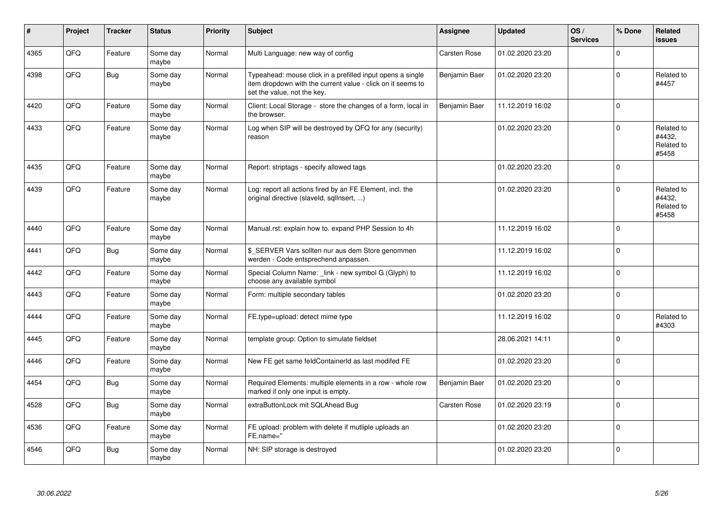| #    | Project | <b>Tracker</b> | <b>Status</b>     | <b>Priority</b> | <b>Subject</b>                                                                                                                                           | <b>Assignee</b>     | <b>Updated</b>   | OS/<br><b>Services</b> | % Done      | Related<br><b>issues</b>                    |
|------|---------|----------------|-------------------|-----------------|----------------------------------------------------------------------------------------------------------------------------------------------------------|---------------------|------------------|------------------------|-------------|---------------------------------------------|
| 4365 | QFQ     | Feature        | Some day<br>maybe | Normal          | Multi Language: new way of config                                                                                                                        | <b>Carsten Rose</b> | 01.02.2020 23:20 |                        | $\mathbf 0$ |                                             |
| 4398 | QFQ     | <b>Bug</b>     | Some day<br>maybe | Normal          | Typeahead: mouse click in a prefilled input opens a single<br>item dropdown with the current value - click on it seems to<br>set the value, not the key. | Benjamin Baer       | 01.02.2020 23:20 |                        | $\mathbf 0$ | Related to<br>#4457                         |
| 4420 | QFQ     | Feature        | Some day<br>maybe | Normal          | Client: Local Storage - store the changes of a form, local in<br>the browser.                                                                            | Benjamin Baer       | 11.12.2019 16:02 |                        | $\mathsf 0$ |                                             |
| 4433 | QFQ     | Feature        | Some day<br>maybe | Normal          | Log when SIP will be destroyed by QFQ for any (security)<br>reason                                                                                       |                     | 01.02.2020 23:20 |                        | $\mathbf 0$ | Related to<br>#4432,<br>Related to<br>#5458 |
| 4435 | QFQ     | Feature        | Some day<br>maybe | Normal          | Report: striptags - specify allowed tags                                                                                                                 |                     | 01.02.2020 23:20 |                        | $\mathbf 0$ |                                             |
| 4439 | QFQ     | Feature        | Some day<br>maybe | Normal          | Log: report all actions fired by an FE Element, incl. the<br>original directive (slaveld, sqllnsert, )                                                   |                     | 01.02.2020 23:20 |                        | $\mathbf 0$ | Related to<br>#4432,<br>Related to<br>#5458 |
| 4440 | QFQ     | Feature        | Some day<br>maybe | Normal          | Manual.rst: explain how to. expand PHP Session to 4h                                                                                                     |                     | 11.12.2019 16:02 |                        | $\Omega$    |                                             |
| 4441 | QFQ     | <b>Bug</b>     | Some day<br>maybe | Normal          | \$ SERVER Vars sollten nur aus dem Store genommen<br>werden - Code entsprechend anpassen.                                                                |                     | 11.12.2019 16:02 |                        | $\mathbf 0$ |                                             |
| 4442 | QFQ     | Feature        | Some day<br>maybe | Normal          | Special Column Name: _link - new symbol G (Glyph) to<br>choose any available symbol                                                                      |                     | 11.12.2019 16:02 |                        | $\Omega$    |                                             |
| 4443 | QFQ     | Feature        | Some day<br>maybe | Normal          | Form: multiple secondary tables                                                                                                                          |                     | 01.02.2020 23:20 |                        | $\mathbf 0$ |                                             |
| 4444 | QFQ     | Feature        | Some day<br>maybe | Normal          | FE.type=upload: detect mime type                                                                                                                         |                     | 11.12.2019 16:02 |                        | $\mathsf 0$ | Related to<br>#4303                         |
| 4445 | QFQ     | Feature        | Some day<br>maybe | Normal          | template group: Option to simulate fieldset                                                                                                              |                     | 28.06.2021 14:11 |                        | $\mathbf 0$ |                                             |
| 4446 | QFQ     | Feature        | Some day<br>maybe | Normal          | New FE get same feldContainerId as last modifed FE                                                                                                       |                     | 01.02.2020 23:20 |                        | $\mathsf 0$ |                                             |
| 4454 | QFQ     | <b>Bug</b>     | Some day<br>maybe | Normal          | Required Elements: multiple elements in a row - whole row<br>marked if only one input is empty.                                                          | Benjamin Baer       | 01.02.2020 23:20 |                        | $\mathbf 0$ |                                             |
| 4528 | QFQ     | <b>Bug</b>     | Some day<br>maybe | Normal          | extraButtonLock mit SQLAhead Bug                                                                                                                         | <b>Carsten Rose</b> | 01.02.2020 23:19 |                        | $\mathbf 0$ |                                             |
| 4536 | QFO     | Feature        | Some day<br>maybe | Normal          | FE upload: problem with delete if mutliple uploads an<br>FE.name="                                                                                       |                     | 01.02.2020 23:20 |                        | $\mathsf 0$ |                                             |
| 4546 | QFQ     | <b>Bug</b>     | Some day<br>maybe | Normal          | NH: SIP storage is destroyed                                                                                                                             |                     | 01.02.2020 23:20 |                        | $\mathbf 0$ |                                             |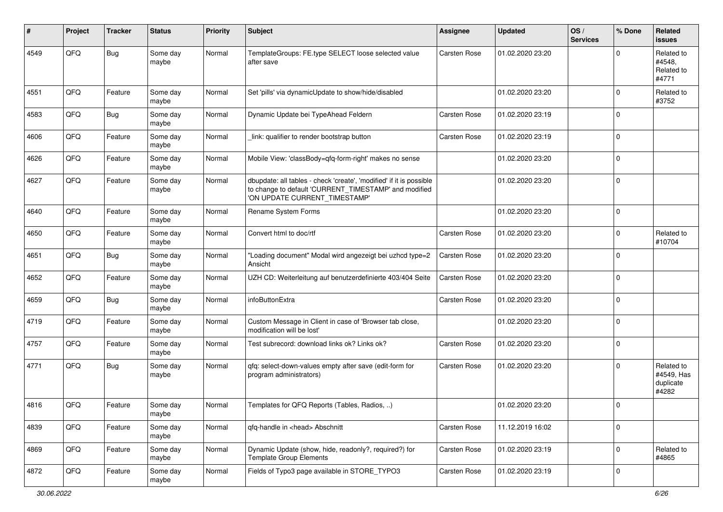| #    | Project | <b>Tracker</b> | <b>Status</b>     | <b>Priority</b> | <b>Subject</b>                                                                                                                                                | <b>Assignee</b>     | <b>Updated</b>   | OS/<br><b>Services</b> | % Done      | Related<br><b>issues</b>                       |
|------|---------|----------------|-------------------|-----------------|---------------------------------------------------------------------------------------------------------------------------------------------------------------|---------------------|------------------|------------------------|-------------|------------------------------------------------|
| 4549 | QFQ     | <b>Bug</b>     | Some day<br>maybe | Normal          | TemplateGroups: FE.type SELECT loose selected value<br>after save                                                                                             | Carsten Rose        | 01.02.2020 23:20 |                        | O           | Related to<br>#4548,<br>Related to<br>#4771    |
| 4551 | QFQ     | Feature        | Some day<br>maybe | Normal          | Set 'pills' via dynamicUpdate to show/hide/disabled                                                                                                           |                     | 01.02.2020 23:20 |                        | $\Omega$    | Related to<br>#3752                            |
| 4583 | QFQ     | <b>Bug</b>     | Some day<br>maybe | Normal          | Dynamic Update bei TypeAhead Feldern                                                                                                                          | Carsten Rose        | 01.02.2020 23:19 |                        | $\Omega$    |                                                |
| 4606 | QFQ     | Feature        | Some day<br>maybe | Normal          | link: qualifier to render bootstrap button                                                                                                                    | Carsten Rose        | 01.02.2020 23:19 |                        | $\mathbf 0$ |                                                |
| 4626 | QFQ     | Feature        | Some day<br>maybe | Normal          | Mobile View: 'classBody=qfq-form-right' makes no sense                                                                                                        |                     | 01.02.2020 23:20 |                        | $\Omega$    |                                                |
| 4627 | QFQ     | Feature        | Some day<br>maybe | Normal          | dbupdate: all tables - check 'create', 'modified' if it is possible<br>to change to default 'CURRENT_TIMESTAMP' and modified<br>'ON UPDATE CURRENT_TIMESTAMP' |                     | 01.02.2020 23:20 |                        | $\mathbf 0$ |                                                |
| 4640 | QFQ     | Feature        | Some day<br>maybe | Normal          | Rename System Forms                                                                                                                                           |                     | 01.02.2020 23:20 |                        | $\mathbf 0$ |                                                |
| 4650 | QFQ     | Feature        | Some day<br>maybe | Normal          | Convert html to doc/rtf                                                                                                                                       | Carsten Rose        | 01.02.2020 23:20 |                        | $\Omega$    | Related to<br>#10704                           |
| 4651 | QFQ     | <b>Bug</b>     | Some day<br>maybe | Normal          | "Loading document" Modal wird angezeigt bei uzhcd type=2<br>Ansicht                                                                                           | <b>Carsten Rose</b> | 01.02.2020 23:20 |                        | $\Omega$    |                                                |
| 4652 | QFQ     | Feature        | Some day<br>maybe | Normal          | UZH CD: Weiterleitung auf benutzerdefinierte 403/404 Seite                                                                                                    | Carsten Rose        | 01.02.2020 23:20 |                        | $\Omega$    |                                                |
| 4659 | QFQ     | <b>Bug</b>     | Some day<br>maybe | Normal          | infoButtonExtra                                                                                                                                               | Carsten Rose        | 01.02.2020 23:20 |                        | $\mathbf 0$ |                                                |
| 4719 | QFQ     | Feature        | Some day<br>maybe | Normal          | Custom Message in Client in case of 'Browser tab close,<br>modification will be lost'                                                                         |                     | 01.02.2020 23:20 |                        | $\mathbf 0$ |                                                |
| 4757 | QFQ     | Feature        | Some day<br>maybe | Normal          | Test subrecord: download links ok? Links ok?                                                                                                                  | Carsten Rose        | 01.02.2020 23:20 |                        | $\mathbf 0$ |                                                |
| 4771 | QFQ     | <b>Bug</b>     | Some day<br>maybe | Normal          | qfq: select-down-values empty after save (edit-form for<br>program administrators)                                                                            | Carsten Rose        | 01.02.2020 23:20 |                        | $\Omega$    | Related to<br>#4549, Has<br>duplicate<br>#4282 |
| 4816 | QFQ     | Feature        | Some day<br>maybe | Normal          | Templates for QFQ Reports (Tables, Radios, )                                                                                                                  |                     | 01.02.2020 23:20 |                        | 0           |                                                |
| 4839 | QFO     | Feature        | Some day<br>maybe | Normal          | qfq-handle in <head> Abschnitt</head>                                                                                                                         | Carsten Rose        | 11.12.2019 16:02 |                        | $\mathbf 0$ |                                                |
| 4869 | QFQ     | Feature        | Some day<br>maybe | Normal          | Dynamic Update (show, hide, readonly?, required?) for<br>Template Group Elements                                                                              | Carsten Rose        | 01.02.2020 23:19 |                        | $\mathbf 0$ | Related to<br>#4865                            |
| 4872 | QFO     | Feature        | Some day<br>maybe | Normal          | Fields of Typo3 page available in STORE TYPO3                                                                                                                 | Carsten Rose        | 01.02.2020 23:19 |                        | 0           |                                                |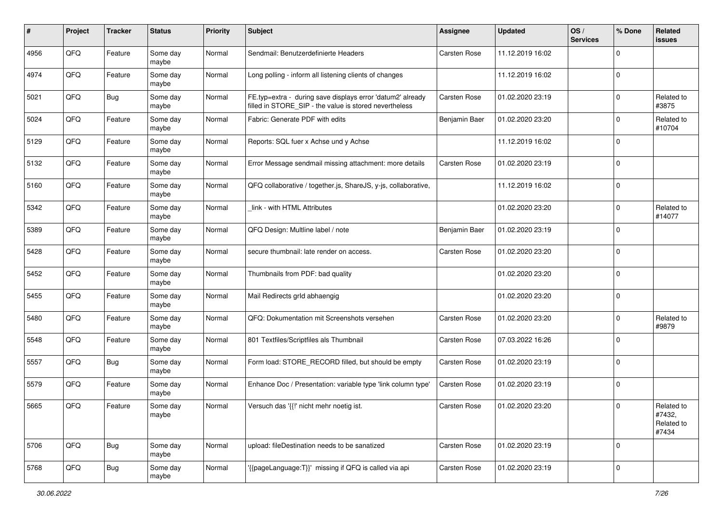| #    | Project | <b>Tracker</b> | <b>Status</b>     | <b>Priority</b> | <b>Subject</b>                                                                                                       | Assignee            | <b>Updated</b>   | OS/<br><b>Services</b> | % Done      | Related<br><b>issues</b>                    |
|------|---------|----------------|-------------------|-----------------|----------------------------------------------------------------------------------------------------------------------|---------------------|------------------|------------------------|-------------|---------------------------------------------|
| 4956 | QFQ     | Feature        | Some day<br>maybe | Normal          | Sendmail: Benutzerdefinierte Headers                                                                                 | <b>Carsten Rose</b> | 11.12.2019 16:02 |                        | $\Omega$    |                                             |
| 4974 | QFQ     | Feature        | Some day<br>maybe | Normal          | Long polling - inform all listening clients of changes                                                               |                     | 11.12.2019 16:02 |                        | $\mathbf 0$ |                                             |
| 5021 | QFQ     | Bug            | Some day<br>maybe | Normal          | FE.typ=extra - during save displays error 'datum2' already<br>filled in STORE_SIP - the value is stored nevertheless | <b>Carsten Rose</b> | 01.02.2020 23:19 |                        | $\Omega$    | Related to<br>#3875                         |
| 5024 | QFQ     | Feature        | Some day<br>maybe | Normal          | Fabric: Generate PDF with edits                                                                                      | Benjamin Baer       | 01.02.2020 23:20 |                        | $\Omega$    | Related to<br>#10704                        |
| 5129 | QFQ     | Feature        | Some day<br>maybe | Normal          | Reports: SQL fuer x Achse und y Achse                                                                                |                     | 11.12.2019 16:02 |                        | $\Omega$    |                                             |
| 5132 | QFQ     | Feature        | Some day<br>maybe | Normal          | Error Message sendmail missing attachment: more details                                                              | Carsten Rose        | 01.02.2020 23:19 |                        | $\Omega$    |                                             |
| 5160 | QFQ     | Feature        | Some day<br>maybe | Normal          | QFQ collaborative / together.js, ShareJS, y-js, collaborative,                                                       |                     | 11.12.2019 16:02 |                        | $\mathbf 0$ |                                             |
| 5342 | QFQ     | Feature        | Some day<br>maybe | Normal          | link - with HTML Attributes                                                                                          |                     | 01.02.2020 23:20 |                        | 0           | Related to<br>#14077                        |
| 5389 | QFQ     | Feature        | Some day<br>maybe | Normal          | QFQ Design: Multline label / note                                                                                    | Benjamin Baer       | 01.02.2020 23:19 |                        | 0           |                                             |
| 5428 | QFQ     | Feature        | Some day<br>maybe | Normal          | secure thumbnail: late render on access.                                                                             | Carsten Rose        | 01.02.2020 23:20 |                        | $\Omega$    |                                             |
| 5452 | QFQ     | Feature        | Some day<br>maybe | Normal          | Thumbnails from PDF: bad quality                                                                                     |                     | 01.02.2020 23:20 |                        | $\Omega$    |                                             |
| 5455 | QFQ     | Feature        | Some day<br>maybe | Normal          | Mail Redirects grld abhaengig                                                                                        |                     | 01.02.2020 23:20 |                        | $\mathbf 0$ |                                             |
| 5480 | QFQ     | Feature        | Some day<br>maybe | Normal          | QFQ: Dokumentation mit Screenshots versehen                                                                          | <b>Carsten Rose</b> | 01.02.2020 23:20 |                        | $\Omega$    | Related to<br>#9879                         |
| 5548 | QFQ     | Feature        | Some day<br>maybe | Normal          | 801 Textfiles/Scriptfiles als Thumbnail                                                                              | Carsten Rose        | 07.03.2022 16:26 |                        | $\mathbf 0$ |                                             |
| 5557 | QFQ     | <b>Bug</b>     | Some day<br>maybe | Normal          | Form load: STORE_RECORD filled, but should be empty                                                                  | Carsten Rose        | 01.02.2020 23:19 |                        | $\mathbf 0$ |                                             |
| 5579 | QFQ     | Feature        | Some day<br>maybe | Normal          | Enhance Doc / Presentation: variable type 'link column type'                                                         | <b>Carsten Rose</b> | 01.02.2020 23:19 |                        | 0           |                                             |
| 5665 | QFQ     | Feature        | Some day<br>maybe | Normal          | Versuch das '{{!' nicht mehr noetig ist.                                                                             | <b>Carsten Rose</b> | 01.02.2020 23:20 |                        | 0           | Related to<br>#7432,<br>Related to<br>#7434 |
| 5706 | QFQ     | <b>Bug</b>     | Some day<br>maybe | Normal          | upload: fileDestination needs to be sanatized                                                                        | <b>Carsten Rose</b> | 01.02.2020 23:19 |                        | $\mathbf 0$ |                                             |
| 5768 | QFQ     | <b>Bug</b>     | Some day<br>maybe | Normal          | '{{pageLanguage:T}}' missing if QFQ is called via api                                                                | Carsten Rose        | 01.02.2020 23:19 |                        | $\mathbf 0$ |                                             |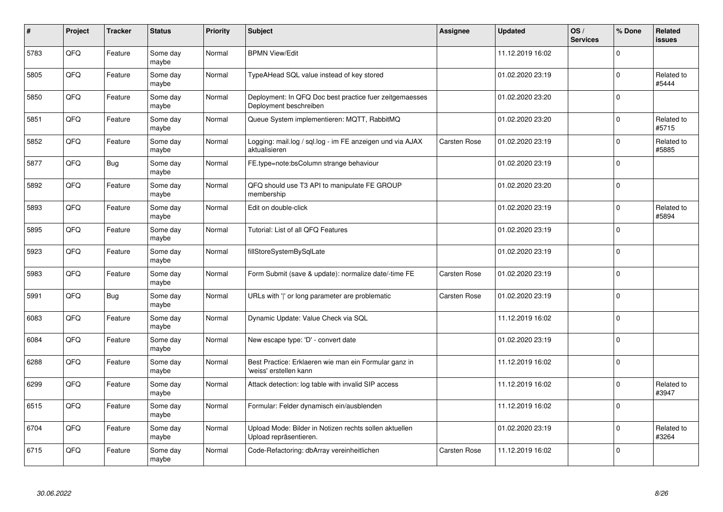| #    | Project | <b>Tracker</b> | <b>Status</b>     | <b>Priority</b> | <b>Subject</b>                                                                    | <b>Assignee</b>     | <b>Updated</b>   | OS/<br><b>Services</b> | % Done      | Related<br><b>issues</b> |
|------|---------|----------------|-------------------|-----------------|-----------------------------------------------------------------------------------|---------------------|------------------|------------------------|-------------|--------------------------|
| 5783 | QFQ     | Feature        | Some day<br>maybe | Normal          | <b>BPMN View/Edit</b>                                                             |                     | 11.12.2019 16:02 |                        | $\Omega$    |                          |
| 5805 | QFQ     | Feature        | Some day<br>maybe | Normal          | TypeAHead SQL value instead of key stored                                         |                     | 01.02.2020 23:19 |                        | $\mathbf 0$ | Related to<br>#5444      |
| 5850 | QFQ     | Feature        | Some day<br>maybe | Normal          | Deployment: In QFQ Doc best practice fuer zeitgemaesses<br>Deployment beschreiben |                     | 01.02.2020 23:20 |                        | $\Omega$    |                          |
| 5851 | QFQ     | Feature        | Some day<br>maybe | Normal          | Queue System implementieren: MQTT, RabbitMQ                                       |                     | 01.02.2020 23:20 |                        | $\Omega$    | Related to<br>#5715      |
| 5852 | QFQ     | Feature        | Some day<br>maybe | Normal          | Logging: mail.log / sql.log - im FE anzeigen und via AJAX<br>aktualisieren        | <b>Carsten Rose</b> | 01.02.2020 23:19 |                        | $\Omega$    | Related to<br>#5885      |
| 5877 | QFQ     | <b>Bug</b>     | Some day<br>maybe | Normal          | FE.type=note:bsColumn strange behaviour                                           |                     | 01.02.2020 23:19 |                        | $\Omega$    |                          |
| 5892 | QFQ     | Feature        | Some day<br>maybe | Normal          | QFQ should use T3 API to manipulate FE GROUP<br>membership                        |                     | 01.02.2020 23:20 |                        | $\Omega$    |                          |
| 5893 | QFQ     | Feature        | Some day<br>maybe | Normal          | Edit on double-click                                                              |                     | 01.02.2020 23:19 |                        | $\Omega$    | Related to<br>#5894      |
| 5895 | QFQ     | Feature        | Some day<br>maybe | Normal          | Tutorial: List of all QFQ Features                                                |                     | 01.02.2020 23:19 |                        | $\Omega$    |                          |
| 5923 | QFQ     | Feature        | Some day<br>maybe | Normal          | fillStoreSystemBySqlLate                                                          |                     | 01.02.2020 23:19 |                        | $\Omega$    |                          |
| 5983 | QFQ     | Feature        | Some day<br>maybe | Normal          | Form Submit (save & update): normalize date/-time FE                              | Carsten Rose        | 01.02.2020 23:19 |                        | $\Omega$    |                          |
| 5991 | QFQ     | <b>Bug</b>     | Some day<br>maybe | Normal          | URLs with ' ' or long parameter are problematic                                   | <b>Carsten Rose</b> | 01.02.2020 23:19 |                        | $\Omega$    |                          |
| 6083 | QFQ     | Feature        | Some day<br>maybe | Normal          | Dynamic Update: Value Check via SQL                                               |                     | 11.12.2019 16:02 |                        | $\Omega$    |                          |
| 6084 | QFQ     | Feature        | Some day<br>maybe | Normal          | New escape type: 'D' - convert date                                               |                     | 01.02.2020 23:19 |                        | $\Omega$    |                          |
| 6288 | QFQ     | Feature        | Some day<br>maybe | Normal          | Best Practice: Erklaeren wie man ein Formular ganz in<br>'weiss' erstellen kann   |                     | 11.12.2019 16:02 |                        | $\Omega$    |                          |
| 6299 | QFQ     | Feature        | Some day<br>maybe | Normal          | Attack detection: log table with invalid SIP access                               |                     | 11.12.2019 16:02 |                        | $\Omega$    | Related to<br>#3947      |
| 6515 | QFQ     | Feature        | Some day<br>maybe | Normal          | Formular: Felder dynamisch ein/ausblenden                                         |                     | 11.12.2019 16:02 |                        | $\Omega$    |                          |
| 6704 | QFQ     | Feature        | Some day<br>maybe | Normal          | Upload Mode: Bilder in Notizen rechts sollen aktuellen<br>Upload repräsentieren.  |                     | 01.02.2020 23:19 |                        | $\Omega$    | Related to<br>#3264      |
| 6715 | QFQ     | Feature        | Some day<br>maybe | Normal          | Code-Refactoring: dbArray vereinheitlichen                                        | Carsten Rose        | 11.12.2019 16:02 |                        | $\Omega$    |                          |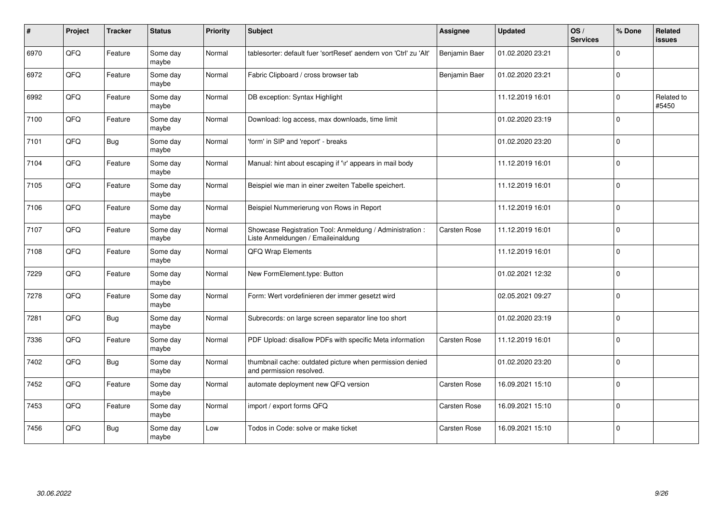| #    | Project | <b>Tracker</b> | <b>Status</b>     | <b>Priority</b> | Subject                                                                                        | <b>Assignee</b>     | <b>Updated</b>   | OS/<br><b>Services</b> | % Done      | Related<br><b>issues</b> |
|------|---------|----------------|-------------------|-----------------|------------------------------------------------------------------------------------------------|---------------------|------------------|------------------------|-------------|--------------------------|
| 6970 | QFQ     | Feature        | Some day<br>maybe | Normal          | tablesorter: default fuer 'sortReset' aendern von 'Ctrl' zu 'Alt'                              | Benjamin Baer       | 01.02.2020 23:21 |                        | $\Omega$    |                          |
| 6972 | QFQ     | Feature        | Some day<br>maybe | Normal          | Fabric Clipboard / cross browser tab                                                           | Benjamin Baer       | 01.02.2020 23:21 |                        | $\Omega$    |                          |
| 6992 | QFQ     | Feature        | Some day<br>maybe | Normal          | DB exception: Syntax Highlight                                                                 |                     | 11.12.2019 16:01 |                        | $\Omega$    | Related to<br>#5450      |
| 7100 | QFQ     | Feature        | Some day<br>maybe | Normal          | Download: log access, max downloads, time limit                                                |                     | 01.02.2020 23:19 |                        | $\Omega$    |                          |
| 7101 | QFQ     | <b>Bug</b>     | Some day<br>maybe | Normal          | 'form' in SIP and 'report' - breaks                                                            |                     | 01.02.2020 23:20 |                        | $\Omega$    |                          |
| 7104 | QFQ     | Feature        | Some day<br>maybe | Normal          | Manual: hint about escaping if '\r' appears in mail body                                       |                     | 11.12.2019 16:01 |                        | $\Omega$    |                          |
| 7105 | QFQ     | Feature        | Some day<br>maybe | Normal          | Beispiel wie man in einer zweiten Tabelle speichert.                                           |                     | 11.12.2019 16:01 |                        | $\Omega$    |                          |
| 7106 | QFQ     | Feature        | Some day<br>maybe | Normal          | Beispiel Nummerierung von Rows in Report                                                       |                     | 11.12.2019 16:01 |                        | $\Omega$    |                          |
| 7107 | QFQ     | Feature        | Some day<br>maybe | Normal          | Showcase Registration Tool: Anmeldung / Administration :<br>Liste Anmeldungen / Emaileinaldung | Carsten Rose        | 11.12.2019 16:01 |                        | $\Omega$    |                          |
| 7108 | QFQ     | Feature        | Some day<br>maybe | Normal          | QFQ Wrap Elements                                                                              |                     | 11.12.2019 16:01 |                        | $\Omega$    |                          |
| 7229 | QFQ     | Feature        | Some day<br>maybe | Normal          | New FormElement.type: Button                                                                   |                     | 01.02.2021 12:32 |                        | $\mathbf 0$ |                          |
| 7278 | QFQ     | Feature        | Some day<br>maybe | Normal          | Form: Wert vordefinieren der immer gesetzt wird                                                |                     | 02.05.2021 09:27 |                        | $\Omega$    |                          |
| 7281 | QFQ     | <b>Bug</b>     | Some day<br>maybe | Normal          | Subrecords: on large screen separator line too short                                           |                     | 01.02.2020 23:19 |                        | $\Omega$    |                          |
| 7336 | QFQ     | Feature        | Some day<br>maybe | Normal          | PDF Upload: disallow PDFs with specific Meta information                                       | <b>Carsten Rose</b> | 11.12.2019 16:01 |                        | $\mathbf 0$ |                          |
| 7402 | QFQ     | <b>Bug</b>     | Some day<br>maybe | Normal          | thumbnail cache: outdated picture when permission denied<br>and permission resolved.           |                     | 01.02.2020 23:20 |                        | $\Omega$    |                          |
| 7452 | QFQ     | Feature        | Some day<br>maybe | Normal          | automate deployment new QFQ version                                                            | Carsten Rose        | 16.09.2021 15:10 |                        | $\Omega$    |                          |
| 7453 | QFQ     | Feature        | Some day<br>maybe | Normal          | import / export forms QFQ                                                                      | Carsten Rose        | 16.09.2021 15:10 |                        | $\Omega$    |                          |
| 7456 | QFQ     | <b>Bug</b>     | Some day<br>maybe | Low             | Todos in Code: solve or make ticket                                                            | Carsten Rose        | 16.09.2021 15:10 |                        | $\Omega$    |                          |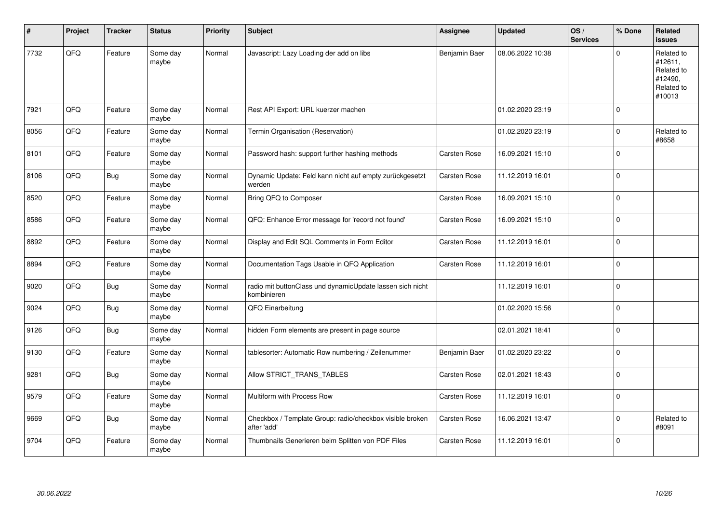| ∦    | Project | <b>Tracker</b> | <b>Status</b>     | <b>Priority</b> | <b>Subject</b>                                                           | Assignee            | <b>Updated</b>   | OS/<br><b>Services</b> | % Done      | Related<br>issues                                                      |
|------|---------|----------------|-------------------|-----------------|--------------------------------------------------------------------------|---------------------|------------------|------------------------|-------------|------------------------------------------------------------------------|
| 7732 | QFQ     | Feature        | Some day<br>maybe | Normal          | Javascript: Lazy Loading der add on libs                                 | Benjamin Baer       | 08.06.2022 10:38 |                        | $\Omega$    | Related to<br>#12611,<br>Related to<br>#12490,<br>Related to<br>#10013 |
| 7921 | QFQ     | Feature        | Some day<br>maybe | Normal          | Rest API Export: URL kuerzer machen                                      |                     | 01.02.2020 23:19 |                        | $\Omega$    |                                                                        |
| 8056 | QFQ     | Feature        | Some day<br>maybe | Normal          | Termin Organisation (Reservation)                                        |                     | 01.02.2020 23:19 |                        | $\Omega$    | Related to<br>#8658                                                    |
| 8101 | QFQ     | Feature        | Some day<br>maybe | Normal          | Password hash: support further hashing methods                           | <b>Carsten Rose</b> | 16.09.2021 15:10 |                        | $\Omega$    |                                                                        |
| 8106 | QFQ     | <b>Bug</b>     | Some day<br>maybe | Normal          | Dynamic Update: Feld kann nicht auf empty zurückgesetzt<br>werden        | Carsten Rose        | 11.12.2019 16:01 |                        | $\Omega$    |                                                                        |
| 8520 | QFQ     | Feature        | Some day<br>maybe | Normal          | Bring QFQ to Composer                                                    | <b>Carsten Rose</b> | 16.09.2021 15:10 |                        | $\Omega$    |                                                                        |
| 8586 | QFQ     | Feature        | Some day<br>maybe | Normal          | QFQ: Enhance Error message for 'record not found'                        | <b>Carsten Rose</b> | 16.09.2021 15:10 |                        | $\Omega$    |                                                                        |
| 8892 | QFQ     | Feature        | Some day<br>maybe | Normal          | Display and Edit SQL Comments in Form Editor                             | Carsten Rose        | 11.12.2019 16:01 |                        | $\Omega$    |                                                                        |
| 8894 | QFQ     | Feature        | Some day<br>maybe | Normal          | Documentation Tags Usable in QFQ Application                             | <b>Carsten Rose</b> | 11.12.2019 16:01 |                        | $\mathbf 0$ |                                                                        |
| 9020 | QFQ     | <b>Bug</b>     | Some day<br>maybe | Normal          | radio mit buttonClass und dynamicUpdate lassen sich nicht<br>kombinieren |                     | 11.12.2019 16:01 |                        | $\Omega$    |                                                                        |
| 9024 | QFQ     | <b>Bug</b>     | Some day<br>maybe | Normal          | QFQ Einarbeitung                                                         |                     | 01.02.2020 15:56 |                        | $\Omega$    |                                                                        |
| 9126 | QFQ     | <b>Bug</b>     | Some day<br>maybe | Normal          | hidden Form elements are present in page source                          |                     | 02.01.2021 18:41 |                        | $\Omega$    |                                                                        |
| 9130 | QFQ     | Feature        | Some day<br>maybe | Normal          | tablesorter: Automatic Row numbering / Zeilenummer                       | Benjamin Baer       | 01.02.2020 23:22 |                        | $\Omega$    |                                                                        |
| 9281 | QFQ     | <b>Bug</b>     | Some day<br>maybe | Normal          | Allow STRICT_TRANS_TABLES                                                | <b>Carsten Rose</b> | 02.01.2021 18:43 |                        | $\Omega$    |                                                                        |
| 9579 | QFQ     | Feature        | Some day<br>maybe | Normal          | Multiform with Process Row                                               | <b>Carsten Rose</b> | 11.12.2019 16:01 |                        | $\Omega$    |                                                                        |
| 9669 | QFO     | <b>Bug</b>     | Some day<br>maybe | Normal          | Checkbox / Template Group: radio/checkbox visible broken<br>after 'add'  | Carsten Rose        | 16.06.2021 13:47 |                        | $\Omega$    | Related to<br>#8091                                                    |
| 9704 | QFQ     | Feature        | Some day<br>maybe | Normal          | Thumbnails Generieren beim Splitten von PDF Files                        | Carsten Rose        | 11.12.2019 16:01 |                        | $\Omega$    |                                                                        |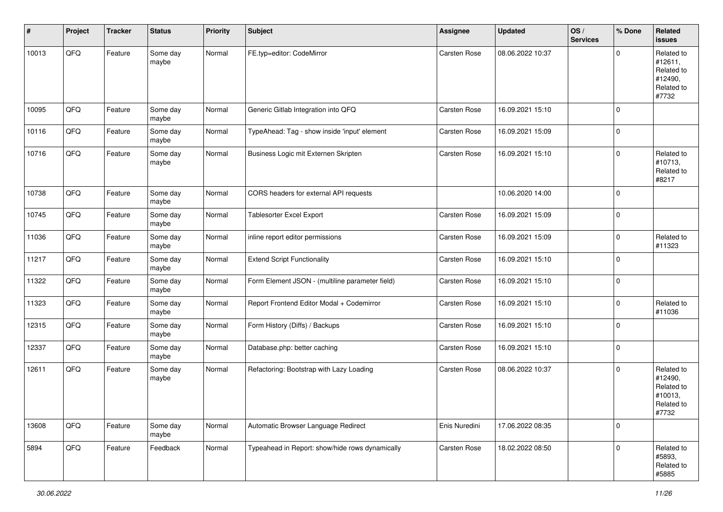| #     | Project | <b>Tracker</b> | <b>Status</b>     | <b>Priority</b> | <b>Subject</b>                                  | Assignee            | <b>Updated</b>   | OS/<br><b>Services</b> | % Done      | Related<br><b>issues</b>                                              |
|-------|---------|----------------|-------------------|-----------------|-------------------------------------------------|---------------------|------------------|------------------------|-------------|-----------------------------------------------------------------------|
| 10013 | QFQ     | Feature        | Some day<br>maybe | Normal          | FE.typ=editor: CodeMirror                       | <b>Carsten Rose</b> | 08.06.2022 10:37 |                        | $\mathbf 0$ | Related to<br>#12611,<br>Related to<br>#12490,<br>Related to<br>#7732 |
| 10095 | QFQ     | Feature        | Some day<br>maybe | Normal          | Generic Gitlab Integration into QFQ             | <b>Carsten Rose</b> | 16.09.2021 15:10 |                        | $\mathbf 0$ |                                                                       |
| 10116 | QFQ     | Feature        | Some day<br>maybe | Normal          | TypeAhead: Tag - show inside 'input' element    | Carsten Rose        | 16.09.2021 15:09 |                        | $\mathbf 0$ |                                                                       |
| 10716 | QFQ     | Feature        | Some day<br>maybe | Normal          | Business Logic mit Externen Skripten            | Carsten Rose        | 16.09.2021 15:10 |                        | $\mathbf 0$ | Related to<br>#10713,<br>Related to<br>#8217                          |
| 10738 | QFQ     | Feature        | Some day<br>maybe | Normal          | CORS headers for external API requests          |                     | 10.06.2020 14:00 |                        | $\mathbf 0$ |                                                                       |
| 10745 | QFQ     | Feature        | Some day<br>maybe | Normal          | <b>Tablesorter Excel Export</b>                 | Carsten Rose        | 16.09.2021 15:09 |                        | $\mathbf 0$ |                                                                       |
| 11036 | QFQ     | Feature        | Some day<br>maybe | Normal          | inline report editor permissions                | Carsten Rose        | 16.09.2021 15:09 |                        | $\mathbf 0$ | Related to<br>#11323                                                  |
| 11217 | QFQ     | Feature        | Some day<br>maybe | Normal          | <b>Extend Script Functionality</b>              | Carsten Rose        | 16.09.2021 15:10 |                        | $\mathbf 0$ |                                                                       |
| 11322 | QFQ     | Feature        | Some day<br>maybe | Normal          | Form Element JSON - (multiline parameter field) | Carsten Rose        | 16.09.2021 15:10 |                        | $\mathbf 0$ |                                                                       |
| 11323 | QFQ     | Feature        | Some day<br>maybe | Normal          | Report Frontend Editor Modal + Codemirror       | Carsten Rose        | 16.09.2021 15:10 |                        | $\mathbf 0$ | Related to<br>#11036                                                  |
| 12315 | QFQ     | Feature        | Some day<br>maybe | Normal          | Form History (Diffs) / Backups                  | Carsten Rose        | 16.09.2021 15:10 |                        | $\mathbf 0$ |                                                                       |
| 12337 | QFQ     | Feature        | Some day<br>maybe | Normal          | Database.php: better caching                    | Carsten Rose        | 16.09.2021 15:10 |                        | $\mathbf 0$ |                                                                       |
| 12611 | QFQ     | Feature        | Some day<br>maybe | Normal          | Refactoring: Bootstrap with Lazy Loading        | Carsten Rose        | 08.06.2022 10:37 |                        | $\mathbf 0$ | Related to<br>#12490,<br>Related to<br>#10013,<br>Related to<br>#7732 |
| 13608 | QFQ     | Feature        | Some day<br>maybe | Normal          | Automatic Browser Language Redirect             | Enis Nuredini       | 17.06.2022 08:35 |                        | $\mathbf 0$ |                                                                       |
| 5894  | QFQ     | Feature        | Feedback          | Normal          | Typeahead in Report: show/hide rows dynamically | Carsten Rose        | 18.02.2022 08:50 |                        | $\mathbf 0$ | Related to<br>#5893,<br>Related to<br>#5885                           |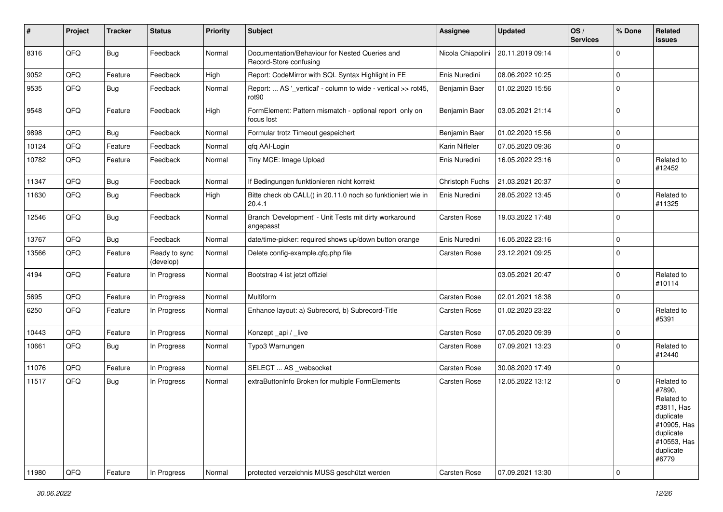| #     | Project | <b>Tracker</b> | <b>Status</b>              | <b>Priority</b> | <b>Subject</b>                                                           | <b>Assignee</b>     | <b>Updated</b>   | OS/<br><b>Services</b> | % Done      | Related<br><b>issues</b>                                                                                                       |
|-------|---------|----------------|----------------------------|-----------------|--------------------------------------------------------------------------|---------------------|------------------|------------------------|-------------|--------------------------------------------------------------------------------------------------------------------------------|
| 8316  | QFQ     | Bug            | Feedback                   | Normal          | Documentation/Behaviour for Nested Queries and<br>Record-Store confusing | Nicola Chiapolini   | 20.11.2019 09:14 |                        | $\Omega$    |                                                                                                                                |
| 9052  | QFQ     | Feature        | Feedback                   | High            | Report: CodeMirror with SQL Syntax Highlight in FE                       | Enis Nuredini       | 08.06.2022 10:25 |                        | $\mathbf 0$ |                                                                                                                                |
| 9535  | QFQ     | <b>Bug</b>     | Feedback                   | Normal          | Report:  AS '_vertical' - column to wide - vertical >> rot45,<br>rot90   | Benjamin Baer       | 01.02.2020 15:56 |                        | $\mathbf 0$ |                                                                                                                                |
| 9548  | QFQ     | Feature        | Feedback                   | High            | FormElement: Pattern mismatch - optional report only on<br>focus lost    | Benjamin Baer       | 03.05.2021 21:14 |                        | 0           |                                                                                                                                |
| 9898  | QFQ     | Bug            | Feedback                   | Normal          | Formular trotz Timeout gespeichert                                       | Benjamin Baer       | 01.02.2020 15:56 |                        | $\Omega$    |                                                                                                                                |
| 10124 | QFQ     | Feature        | Feedback                   | Normal          | qfq AAI-Login                                                            | Karin Niffeler      | 07.05.2020 09:36 |                        | $\mathbf 0$ |                                                                                                                                |
| 10782 | QFQ     | Feature        | Feedback                   | Normal          | Tiny MCE: Image Upload                                                   | Enis Nuredini       | 16.05.2022 23:16 |                        | $\mathbf 0$ | Related to<br>#12452                                                                                                           |
| 11347 | QFQ     | Bug            | Feedback                   | Normal          | If Bedingungen funktionieren nicht korrekt                               | Christoph Fuchs     | 21.03.2021 20:37 |                        | $\mathbf 0$ |                                                                                                                                |
| 11630 | QFQ     | Bug            | Feedback                   | High            | Bitte check ob CALL() in 20.11.0 noch so funktioniert wie in<br>20.4.1   | Enis Nuredini       | 28.05.2022 13:45 |                        | $\Omega$    | Related to<br>#11325                                                                                                           |
| 12546 | QFQ     | <b>Bug</b>     | Feedback                   | Normal          | Branch 'Development' - Unit Tests mit dirty workaround<br>angepasst      | Carsten Rose        | 19.03.2022 17:48 |                        | $\Omega$    |                                                                                                                                |
| 13767 | QFQ     | <b>Bug</b>     | Feedback                   | Normal          | date/time-picker: required shows up/down button orange                   | Enis Nuredini       | 16.05.2022 23:16 |                        | $\mathbf 0$ |                                                                                                                                |
| 13566 | QFQ     | Feature        | Ready to sync<br>(develop) | Normal          | Delete config-example.gfg.php file                                       | <b>Carsten Rose</b> | 23.12.2021 09:25 |                        | $\Omega$    |                                                                                                                                |
| 4194  | QFQ     | Feature        | In Progress                | Normal          | Bootstrap 4 ist jetzt offiziel                                           |                     | 03.05.2021 20:47 |                        | $\mathbf 0$ | Related to<br>#10114                                                                                                           |
| 5695  | QFQ     | Feature        | In Progress                | Normal          | Multiform                                                                | Carsten Rose        | 02.01.2021 18:38 |                        | $\mathbf 0$ |                                                                                                                                |
| 6250  | QFQ     | Feature        | In Progress                | Normal          | Enhance layout: a) Subrecord, b) Subrecord-Title                         | Carsten Rose        | 01.02.2020 23:22 |                        | $\Omega$    | Related to<br>#5391                                                                                                            |
| 10443 | QFQ     | Feature        | In Progress                | Normal          | Konzept_api / _live                                                      | Carsten Rose        | 07.05.2020 09:39 |                        | $\mathbf 0$ |                                                                                                                                |
| 10661 | QFQ     | <b>Bug</b>     | In Progress                | Normal          | Typo3 Warnungen                                                          | Carsten Rose        | 07.09.2021 13:23 |                        | $\Omega$    | Related to<br>#12440                                                                                                           |
| 11076 | QFQ     | Feature        | In Progress                | Normal          | SELECT  AS _websocket                                                    | Carsten Rose        | 30.08.2020 17:49 |                        | $\mathbf 0$ |                                                                                                                                |
| 11517 | QFQ     | <b>Bug</b>     | In Progress                | Normal          | extraButtonInfo Broken for multiple FormElements                         | Carsten Rose        | 12.05.2022 13:12 |                        | $\Omega$    | Related to<br>#7890,<br>Related to<br>#3811, Has<br>duplicate<br>#10905, Has<br>duplicate<br>#10553, Has<br>duplicate<br>#6779 |
| 11980 | QFQ     | Feature        | In Progress                | Normal          | protected verzeichnis MUSS geschützt werden                              | Carsten Rose        | 07.09.2021 13:30 |                        | $\pmb{0}$   |                                                                                                                                |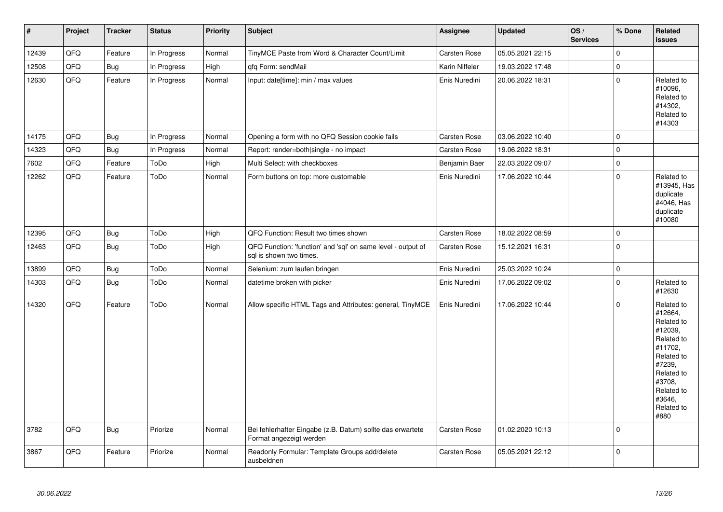| $\vert$ # | Project | <b>Tracker</b> | <b>Status</b> | <b>Priority</b> | <b>Subject</b>                                                                          | <b>Assignee</b>     | <b>Updated</b>   | OS/<br><b>Services</b> | % Done      | Related<br><b>issues</b>                                                                                                                                              |
|-----------|---------|----------------|---------------|-----------------|-----------------------------------------------------------------------------------------|---------------------|------------------|------------------------|-------------|-----------------------------------------------------------------------------------------------------------------------------------------------------------------------|
| 12439     | QFQ     | Feature        | In Progress   | Normal          | TinyMCE Paste from Word & Character Count/Limit                                         | <b>Carsten Rose</b> | 05.05.2021 22:15 |                        | $\Omega$    |                                                                                                                                                                       |
| 12508     | QFQ     | Bug            | In Progress   | High            | qfq Form: sendMail                                                                      | Karin Niffeler      | 19.03.2022 17:48 |                        | $\mathbf 0$ |                                                                                                                                                                       |
| 12630     | QFQ     | Feature        | In Progress   | Normal          | Input: date[time]: min / max values                                                     | Enis Nuredini       | 20.06.2022 18:31 |                        | $\Omega$    | Related to<br>#10096,<br>Related to<br>#14302.<br>Related to<br>#14303                                                                                                |
| 14175     | QFQ     | <b>Bug</b>     | In Progress   | Normal          | Opening a form with no QFQ Session cookie fails                                         | Carsten Rose        | 03.06.2022 10:40 |                        | $\Omega$    |                                                                                                                                                                       |
| 14323     | QFQ     | Bug            | In Progress   | Normal          | Report: render=both single - no impact                                                  | <b>Carsten Rose</b> | 19.06.2022 18:31 |                        | $\mathbf 0$ |                                                                                                                                                                       |
| 7602      | QFQ     | Feature        | ToDo          | High            | Multi Select: with checkboxes                                                           | Benjamin Baer       | 22.03.2022 09:07 |                        | $\Omega$    |                                                                                                                                                                       |
| 12262     | QFQ     | Feature        | ToDo          | Normal          | Form buttons on top: more customable                                                    | Enis Nuredini       | 17.06.2022 10:44 |                        | $\Omega$    | Related to<br>#13945, Has<br>duplicate<br>#4046, Has<br>duplicate<br>#10080                                                                                           |
| 12395     | QFQ     | <b>Bug</b>     | ToDo          | High            | QFQ Function: Result two times shown                                                    | Carsten Rose        | 18.02.2022 08:59 |                        | 0           |                                                                                                                                                                       |
| 12463     | QFQ     | <b>Bug</b>     | ToDo          | High            | QFQ Function: 'function' and 'sql' on same level - output of<br>sql is shown two times. | <b>Carsten Rose</b> | 15.12.2021 16:31 |                        | 0 I         |                                                                                                                                                                       |
| 13899     | QFQ     | <b>Bug</b>     | ToDo          | Normal          | Selenium: zum laufen bringen                                                            | Enis Nuredini       | 25.03.2022 10:24 |                        | $\mathbf 0$ |                                                                                                                                                                       |
| 14303     | QFQ     | Bug            | ToDo          | Normal          | datetime broken with picker                                                             | Enis Nuredini       | 17.06.2022 09:02 |                        | $\Omega$    | Related to<br>#12630                                                                                                                                                  |
| 14320     | QFQ     | Feature        | ToDo          | Normal          | Allow specific HTML Tags and Attributes: general, TinyMCE                               | Enis Nuredini       | 17.06.2022 10:44 |                        | $\mathbf 0$ | Related to<br>#12664,<br>Related to<br>#12039,<br>Related to<br>#11702.<br>Related to<br>#7239,<br>Related to<br>#3708,<br>Related to<br>#3646,<br>Related to<br>#880 |
| 3782      | QFQ     | Bug            | Priorize      | Normal          | Bei fehlerhafter Eingabe (z.B. Datum) sollte das erwartete<br>Format angezeigt werden   | Carsten Rose        | 01.02.2020 10:13 |                        | 0           |                                                                                                                                                                       |
| 3867      | QFQ     | Feature        | Priorize      | Normal          | Readonly Formular: Template Groups add/delete<br>ausbeldnen                             | <b>Carsten Rose</b> | 05.05.2021 22:12 |                        | 0           |                                                                                                                                                                       |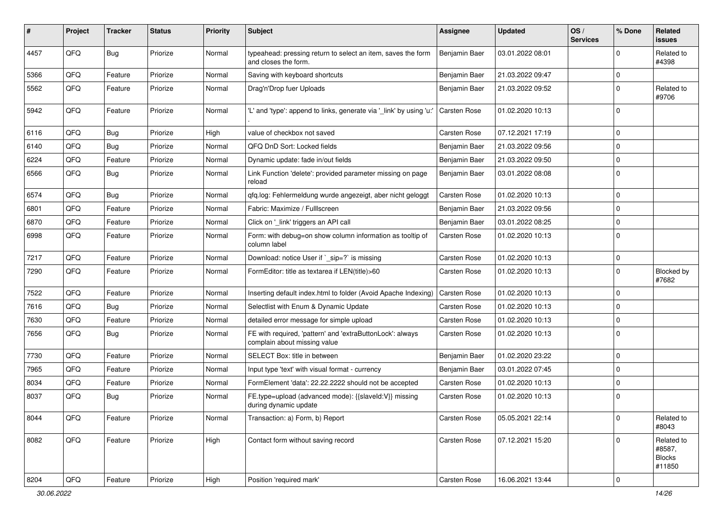| #    | Project | <b>Tracker</b> | <b>Status</b> | <b>Priority</b> | Subject                                                                                   | <b>Assignee</b>     | <b>Updated</b>   | OS/<br><b>Services</b> | % Done      | Related<br>issues                               |
|------|---------|----------------|---------------|-----------------|-------------------------------------------------------------------------------------------|---------------------|------------------|------------------------|-------------|-------------------------------------------------|
| 4457 | QFQ     | <b>Bug</b>     | Priorize      | Normal          | typeahead: pressing return to select an item, saves the form<br>and closes the form.      | Benjamin Baer       | 03.01.2022 08:01 |                        | $\Omega$    | Related to<br>#4398                             |
| 5366 | QFQ     | Feature        | Priorize      | Normal          | Saving with keyboard shortcuts                                                            | Benjamin Baer       | 21.03.2022 09:47 |                        | 0           |                                                 |
| 5562 | QFQ     | Feature        | Priorize      | Normal          | Drag'n'Drop fuer Uploads                                                                  | Benjamin Baer       | 21.03.2022 09:52 |                        | $\Omega$    | Related to<br>#9706                             |
| 5942 | QFQ     | Feature        | Priorize      | Normal          | 'L' and 'type': append to links, generate via '_link' by using 'u:'                       | <b>Carsten Rose</b> | 01.02.2020 10:13 |                        | $\Omega$    |                                                 |
| 6116 | QFQ     | <b>Bug</b>     | Priorize      | High            | value of checkbox not saved                                                               | <b>Carsten Rose</b> | 07.12.2021 17:19 |                        | $\Omega$    |                                                 |
| 6140 | QFQ     | Bug            | Priorize      | Normal          | QFQ DnD Sort: Locked fields                                                               | Benjamin Baer       | 21.03.2022 09:56 |                        | 0           |                                                 |
| 6224 | QFQ     | Feature        | Priorize      | Normal          | Dynamic update: fade in/out fields                                                        | Benjamin Baer       | 21.03.2022 09:50 |                        | 0           |                                                 |
| 6566 | QFQ     | Bug            | Priorize      | Normal          | Link Function 'delete': provided parameter missing on page<br>reload                      | Benjamin Baer       | 03.01.2022 08:08 |                        | 0           |                                                 |
| 6574 | QFQ     | Bug            | Priorize      | Normal          | qfq.log: Fehlermeldung wurde angezeigt, aber nicht geloggt                                | <b>Carsten Rose</b> | 01.02.2020 10:13 |                        | $\Omega$    |                                                 |
| 6801 | QFQ     | Feature        | Priorize      | Normal          | Fabric: Maximize / FullIscreen                                                            | Benjamin Baer       | 21.03.2022 09:56 |                        | $\Omega$    |                                                 |
| 6870 | QFQ     | Feature        | Priorize      | Normal          | Click on '_link' triggers an API call                                                     | Benjamin Baer       | 03.01.2022 08:25 |                        | 0           |                                                 |
| 6998 | QFQ     | Feature        | Priorize      | Normal          | Form: with debug=on show column information as tooltip of<br>column label                 | Carsten Rose        | 01.02.2020 10:13 |                        | $\Omega$    |                                                 |
| 7217 | QFQ     | Feature        | Priorize      | Normal          | Download: notice User if `_sip=?` is missing                                              | Carsten Rose        | 01.02.2020 10:13 |                        | 0           |                                                 |
| 7290 | QFQ     | Feature        | Priorize      | Normal          | FormEditor: title as textarea if LEN(title)>60                                            | Carsten Rose        | 01.02.2020 10:13 |                        | 0           | Blocked by<br>#7682                             |
| 7522 | QFQ     | Feature        | Priorize      | Normal          | Inserting default index.html to folder (Avoid Apache Indexing)                            | <b>Carsten Rose</b> | 01.02.2020 10:13 |                        | $\Omega$    |                                                 |
| 7616 | QFQ     | <b>Bug</b>     | Priorize      | Normal          | Selectlist with Enum & Dynamic Update                                                     | <b>Carsten Rose</b> | 01.02.2020 10:13 |                        | 0           |                                                 |
| 7630 | QFQ     | Feature        | Priorize      | Normal          | detailed error message for simple upload                                                  | <b>Carsten Rose</b> | 01.02.2020 10:13 |                        | 0           |                                                 |
| 7656 | QFQ     | Bug            | Priorize      | Normal          | FE with required, 'pattern' and 'extraButtonLock': always<br>complain about missing value | Carsten Rose        | 01.02.2020 10:13 |                        | $\Omega$    |                                                 |
| 7730 | QFQ     | Feature        | Priorize      | Normal          | SELECT Box: title in between                                                              | Benjamin Baer       | 01.02.2020 23:22 |                        | $\mathbf 0$ |                                                 |
| 7965 | QFQ     | Feature        | Priorize      | Normal          | Input type 'text' with visual format - currency                                           | Benjamin Baer       | 03.01.2022 07:45 |                        | $\mathbf 0$ |                                                 |
| 8034 | QFQ     | Feature        | Priorize      | Normal          | FormElement 'data': 22.22.2222 should not be accepted                                     | <b>Carsten Rose</b> | 01.02.2020 10:13 |                        | $\Omega$    |                                                 |
| 8037 | QFQ     | Bug            | Priorize      | Normal          | FE.type=upload (advanced mode): {{slaveId:V}} missing<br>during dynamic update            | Carsten Rose        | 01.02.2020 10:13 |                        | 0           |                                                 |
| 8044 | QFQ     | Feature        | Priorize      | Normal          | Transaction: a) Form, b) Report                                                           | Carsten Rose        | 05.05.2021 22:14 |                        | 0           | Related to<br>#8043                             |
| 8082 | QFQ     | Feature        | Priorize      | High            | Contact form without saving record                                                        | <b>Carsten Rose</b> | 07.12.2021 15:20 |                        | $\Omega$    | Related to<br>#8587,<br><b>Blocks</b><br>#11850 |
| 8204 | QFQ     | Feature        | Priorize      | High            | Position 'required mark'                                                                  | Carsten Rose        | 16.06.2021 13:44 |                        | 0           |                                                 |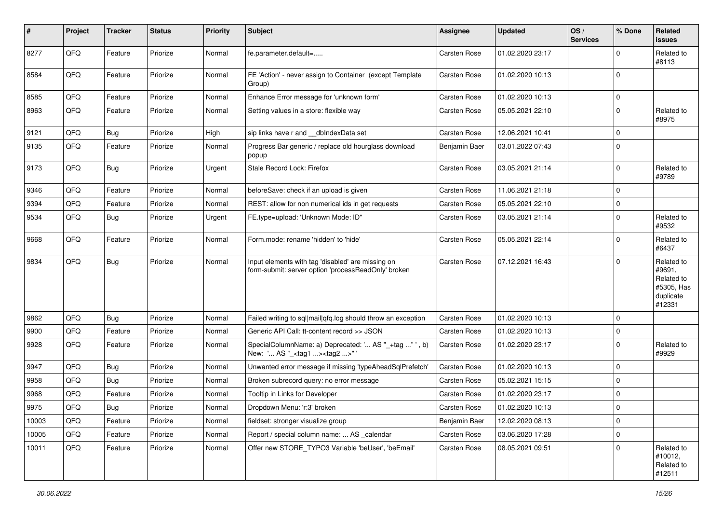| #     | Project | <b>Tracker</b> | <b>Status</b> | <b>Priority</b> | <b>Subject</b>                                                                                           | <b>Assignee</b>     | <b>Updated</b>   | OS/<br><b>Services</b> | % Done      | Related<br><b>issues</b>                                                |
|-------|---------|----------------|---------------|-----------------|----------------------------------------------------------------------------------------------------------|---------------------|------------------|------------------------|-------------|-------------------------------------------------------------------------|
| 8277  | QFQ     | Feature        | Priorize      | Normal          | fe.parameter.default=                                                                                    | Carsten Rose        | 01.02.2020 23:17 |                        | $\Omega$    | Related to<br>#8113                                                     |
| 8584  | QFQ     | Feature        | Priorize      | Normal          | FE 'Action' - never assign to Container (except Template<br>Group)                                       | <b>Carsten Rose</b> | 01.02.2020 10:13 |                        | $\mathbf 0$ |                                                                         |
| 8585  | QFQ     | Feature        | Priorize      | Normal          | Enhance Error message for 'unknown form'                                                                 | <b>Carsten Rose</b> | 01.02.2020 10:13 |                        | 0           |                                                                         |
| 8963  | QFQ     | Feature        | Priorize      | Normal          | Setting values in a store: flexible way                                                                  | Carsten Rose        | 05.05.2021 22:10 |                        | $\Omega$    | Related to<br>#8975                                                     |
| 9121  | QFQ     | <b>Bug</b>     | Priorize      | High            | sip links have r and __dbIndexData set                                                                   | <b>Carsten Rose</b> | 12.06.2021 10:41 |                        | $\Omega$    |                                                                         |
| 9135  | QFQ     | Feature        | Priorize      | Normal          | Progress Bar generic / replace old hourglass download<br>popup                                           | Benjamin Baer       | 03.01.2022 07:43 |                        | 0           |                                                                         |
| 9173  | QFQ     | <b>Bug</b>     | Priorize      | Urgent          | Stale Record Lock: Firefox                                                                               | <b>Carsten Rose</b> | 03.05.2021 21:14 |                        | 0           | Related to<br>#9789                                                     |
| 9346  | QFQ     | Feature        | Priorize      | Normal          | beforeSave: check if an upload is given                                                                  | Carsten Rose        | 11.06.2021 21:18 |                        | $\Omega$    |                                                                         |
| 9394  | QFQ     | Feature        | Priorize      | Normal          | REST: allow for non numerical ids in get requests                                                        | <b>Carsten Rose</b> | 05.05.2021 22:10 |                        | $\Omega$    |                                                                         |
| 9534  | QFQ     | <b>Bug</b>     | Priorize      | Urgent          | FE.type=upload: 'Unknown Mode: ID"                                                                       | <b>Carsten Rose</b> | 03.05.2021 21:14 |                        | $\Omega$    | Related to<br>#9532                                                     |
| 9668  | QFQ     | Feature        | Priorize      | Normal          | Form.mode: rename 'hidden' to 'hide'                                                                     | <b>Carsten Rose</b> | 05.05.2021 22:14 |                        | 0           | Related to<br>#6437                                                     |
| 9834  | QFQ     | <b>Bug</b>     | Priorize      | Normal          | Input elements with tag 'disabled' are missing on<br>form-submit: server option 'processReadOnly' broken | <b>Carsten Rose</b> | 07.12.2021 16:43 |                        | $\Omega$    | Related to<br>#9691,<br>Related to<br>#5305, Has<br>duplicate<br>#12331 |
| 9862  | QFQ     | <b>Bug</b>     | Priorize      | Normal          | Failed writing to sql mail qfq.log should throw an exception                                             | <b>Carsten Rose</b> | 01.02.2020 10:13 |                        | $\Omega$    |                                                                         |
| 9900  | QFQ     | Feature        | Priorize      | Normal          | Generic API Call: tt-content record >> JSON                                                              | <b>Carsten Rose</b> | 01.02.2020 10:13 |                        | $\mathbf 0$ |                                                                         |
| 9928  | QFQ     | Feature        | Priorize      | Normal          | SpecialColumnName: a) Deprecated: ' AS "_+tag " ', b)<br>New: ' AS "_ <tag1><tag2>"</tag2></tag1>        | Carsten Rose        | 01.02.2020 23:17 |                        | $\Omega$    | Related to<br>#9929                                                     |
| 9947  | QFQ     | <b>Bug</b>     | Priorize      | Normal          | Unwanted error message if missing 'typeAheadSqlPrefetch'                                                 | <b>Carsten Rose</b> | 01.02.2020 10:13 |                        | $\mathbf 0$ |                                                                         |
| 9958  | QFQ     | <b>Bug</b>     | Priorize      | Normal          | Broken subrecord query: no error message                                                                 | Carsten Rose        | 05.02.2021 15:15 |                        | $\Omega$    |                                                                         |
| 9968  | QFQ     | Feature        | Priorize      | Normal          | Tooltip in Links for Developer                                                                           | <b>Carsten Rose</b> | 01.02.2020 23:17 |                        | $\Omega$    |                                                                         |
| 9975  | QFQ     | Bug            | Priorize      | Normal          | Dropdown Menu: 'r:3' broken                                                                              | <b>Carsten Rose</b> | 01.02.2020 10:13 |                        | $\Omega$    |                                                                         |
| 10003 | QFQ     | Feature        | Priorize      | Normal          | fieldset: stronger visualize group                                                                       | Benjamin Baer       | 12.02.2020 08:13 |                        | 0           |                                                                         |
| 10005 | QFQ     | Feature        | Priorize      | Normal          | Report / special column name:  AS _calendar                                                              | Carsten Rose        | 03.06.2020 17:28 |                        | 0           |                                                                         |
| 10011 | QFQ     | Feature        | Priorize      | Normal          | Offer new STORE_TYPO3 Variable 'beUser', 'beEmail'                                                       | Carsten Rose        | 08.05.2021 09:51 |                        | 0           | Related to<br>#10012,<br>Related to<br>#12511                           |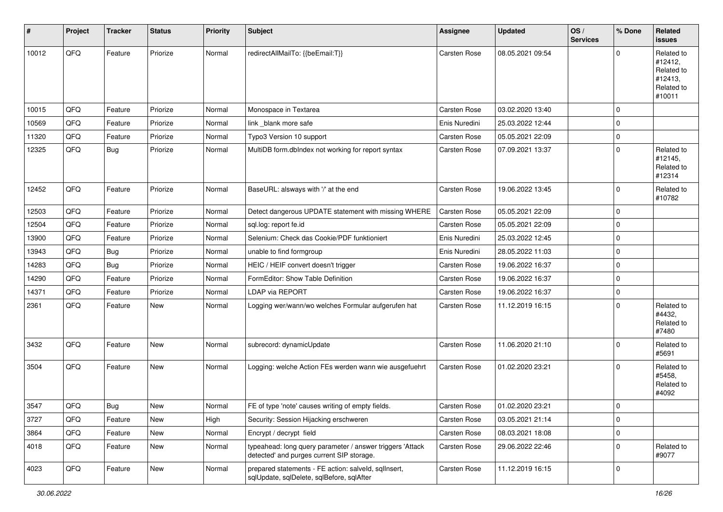| #     | Project | <b>Tracker</b> | <b>Status</b> | <b>Priority</b> | <b>Subject</b>                                                                                         | <b>Assignee</b>     | <b>Updated</b>   | OS/<br><b>Services</b> | % Done      | Related<br><b>issues</b>                                               |
|-------|---------|----------------|---------------|-----------------|--------------------------------------------------------------------------------------------------------|---------------------|------------------|------------------------|-------------|------------------------------------------------------------------------|
| 10012 | QFQ     | Feature        | Priorize      | Normal          | redirectAllMailTo: {{beEmail:T}}                                                                       | <b>Carsten Rose</b> | 08.05.2021 09:54 |                        | $\mathbf 0$ | Related to<br>#12412,<br>Related to<br>#12413,<br>Related to<br>#10011 |
| 10015 | QFQ     | Feature        | Priorize      | Normal          | Monospace in Textarea                                                                                  | <b>Carsten Rose</b> | 03.02.2020 13:40 |                        | $\mathbf 0$ |                                                                        |
| 10569 | QFQ     | Feature        | Priorize      | Normal          | link blank more safe                                                                                   | Enis Nuredini       | 25.03.2022 12:44 |                        | 0           |                                                                        |
| 11320 | QFQ     | Feature        | Priorize      | Normal          | Typo3 Version 10 support                                                                               | Carsten Rose        | 05.05.2021 22:09 |                        | $\mathbf 0$ |                                                                        |
| 12325 | QFQ     | <b>Bug</b>     | Priorize      | Normal          | MultiDB form.dbIndex not working for report syntax                                                     | <b>Carsten Rose</b> | 07.09.2021 13:37 |                        | $\mathbf 0$ | Related to<br>#12145,<br>Related to<br>#12314                          |
| 12452 | QFQ     | Feature        | Priorize      | Normal          | BaseURL: alsways with '/' at the end                                                                   | Carsten Rose        | 19.06.2022 13:45 |                        | $\mathbf 0$ | Related to<br>#10782                                                   |
| 12503 | QFQ     | Feature        | Priorize      | Normal          | Detect dangerous UPDATE statement with missing WHERE                                                   | <b>Carsten Rose</b> | 05.05.2021 22:09 |                        | $\mathbf 0$ |                                                                        |
| 12504 | QFQ     | Feature        | Priorize      | Normal          | sql.log: report fe.id                                                                                  | Carsten Rose        | 05.05.2021 22:09 |                        | $\mathbf 0$ |                                                                        |
| 13900 | QFQ     | Feature        | Priorize      | Normal          | Selenium: Check das Cookie/PDF funktioniert                                                            | Enis Nuredini       | 25.03.2022 12:45 |                        | $\mathbf 0$ |                                                                        |
| 13943 | QFQ     | <b>Bug</b>     | Priorize      | Normal          | unable to find formgroup                                                                               | Enis Nuredini       | 28.05.2022 11:03 |                        | $\mathbf 0$ |                                                                        |
| 14283 | QFQ     | Bug            | Priorize      | Normal          | HEIC / HEIF convert doesn't trigger                                                                    | Carsten Rose        | 19.06.2022 16:37 |                        | $\mathbf 0$ |                                                                        |
| 14290 | QFQ     | Feature        | Priorize      | Normal          | FormEditor: Show Table Definition                                                                      | Carsten Rose        | 19.06.2022 16:37 |                        | $\pmb{0}$   |                                                                        |
| 14371 | QFQ     | Feature        | Priorize      | Normal          | <b>LDAP via REPORT</b>                                                                                 | Carsten Rose        | 19.06.2022 16:37 |                        | $\mathbf 0$ |                                                                        |
| 2361  | QFQ     | Feature        | New           | Normal          | Logging wer/wann/wo welches Formular aufgerufen hat                                                    | Carsten Rose        | 11.12.2019 16:15 |                        | $\mathbf 0$ | Related to<br>#4432,<br>Related to<br>#7480                            |
| 3432  | QFQ     | Feature        | <b>New</b>    | Normal          | subrecord: dynamicUpdate                                                                               | <b>Carsten Rose</b> | 11.06.2020 21:10 |                        | $\mathbf 0$ | Related to<br>#5691                                                    |
| 3504  | QFQ     | Feature        | New           | Normal          | Logging: welche Action FEs werden wann wie ausgefuehrt                                                 | Carsten Rose        | 01.02.2020 23:21 |                        | $\mathbf 0$ | Related to<br>#5458,<br>Related to<br>#4092                            |
| 3547  | QFQ     | Bug            | New           | Normal          | FE of type 'note' causes writing of empty fields.                                                      | Carsten Rose        | 01.02.2020 23:21 |                        | $\mathbf 0$ |                                                                        |
| 3727  | QFQ     | Feature        | New           | High            | Security: Session Hijacking erschweren                                                                 | Carsten Rose        | 03.05.2021 21:14 |                        | $\pmb{0}$   |                                                                        |
| 3864  | QFQ     | Feature        | New           | Normal          | Encrypt / decrypt field                                                                                | Carsten Rose        | 08.03.2021 18:08 |                        | $\mathbf 0$ |                                                                        |
| 4018  | QFQ     | Feature        | New           | Normal          | typeahead: long query parameter / answer triggers 'Attack<br>detected' and purges current SIP storage. | Carsten Rose        | 29.06.2022 22:46 |                        | $\mathbf 0$ | Related to<br>#9077                                                    |
| 4023  | QFQ     | Feature        | New           | Normal          | prepared statements - FE action: salveld, sqlInsert,<br>sqlUpdate, sqlDelete, sqlBefore, sqlAfter      | Carsten Rose        | 11.12.2019 16:15 |                        | $\mathbf 0$ |                                                                        |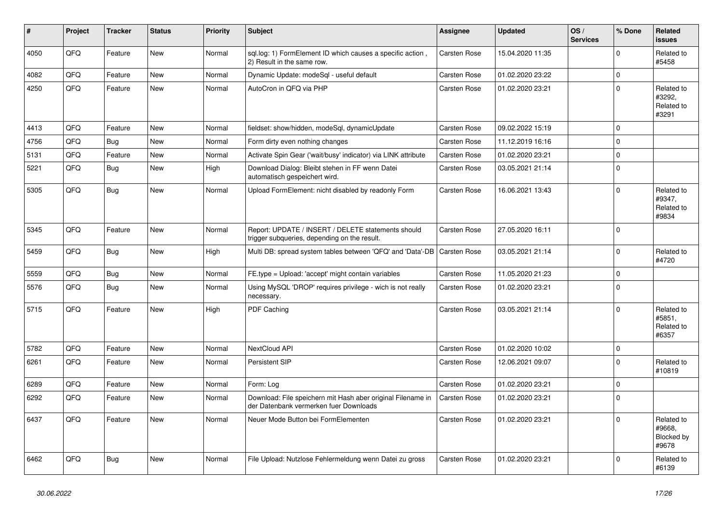| $\vert$ # | Project | <b>Tracker</b> | <b>Status</b> | <b>Priority</b> | <b>Subject</b>                                                                                        | Assignee            | <b>Updated</b>   | OS/<br><b>Services</b> | % Done      | Related<br><b>issues</b>                    |
|-----------|---------|----------------|---------------|-----------------|-------------------------------------------------------------------------------------------------------|---------------------|------------------|------------------------|-------------|---------------------------------------------|
| 4050      | QFQ     | Feature        | New           | Normal          | sql.log: 1) FormElement ID which causes a specific action,<br>2) Result in the same row.              | <b>Carsten Rose</b> | 15.04.2020 11:35 |                        | $\Omega$    | Related to<br>#5458                         |
| 4082      | QFQ     | Feature        | <b>New</b>    | Normal          | Dynamic Update: modeSql - useful default                                                              | <b>Carsten Rose</b> | 01.02.2020 23:22 |                        | $\mathbf 0$ |                                             |
| 4250      | QFQ     | Feature        | New           | Normal          | AutoCron in QFQ via PHP                                                                               | <b>Carsten Rose</b> | 01.02.2020 23:21 |                        | $\Omega$    | Related to<br>#3292,<br>Related to<br>#3291 |
| 4413      | QFQ     | Feature        | <b>New</b>    | Normal          | fieldset: show/hidden, modeSql, dynamicUpdate                                                         | <b>Carsten Rose</b> | 09.02.2022 15:19 |                        | $\Omega$    |                                             |
| 4756      | QFQ     | Bug            | New           | Normal          | Form dirty even nothing changes                                                                       | <b>Carsten Rose</b> | 11.12.2019 16:16 |                        | $\Omega$    |                                             |
| 5131      | QFQ     | Feature        | New           | Normal          | Activate Spin Gear ('wait/busy' indicator) via LINK attribute                                         | <b>Carsten Rose</b> | 01.02.2020 23:21 |                        | $\mathbf 0$ |                                             |
| 5221      | QFQ     | <b>Bug</b>     | New           | High            | Download Dialog: Bleibt stehen in FF wenn Datei<br>automatisch gespeichert wird.                      | Carsten Rose        | 03.05.2021 21:14 |                        | $\Omega$    |                                             |
| 5305      | QFQ     | <b>Bug</b>     | <b>New</b>    | Normal          | Upload FormElement: nicht disabled by readonly Form                                                   | <b>Carsten Rose</b> | 16.06.2021 13:43 |                        | $\Omega$    | Related to<br>#9347,<br>Related to<br>#9834 |
| 5345      | QFQ     | Feature        | New           | Normal          | Report: UPDATE / INSERT / DELETE statements should<br>trigger subqueries, depending on the result.    | Carsten Rose        | 27.05.2020 16:11 |                        | $\Omega$    |                                             |
| 5459      | QFQ     | <b>Bug</b>     | New           | High            | Multi DB: spread system tables between 'QFQ' and 'Data'-DB                                            | <b>Carsten Rose</b> | 03.05.2021 21:14 |                        | $\Omega$    | Related to<br>#4720                         |
| 5559      | QFQ     | <b>Bug</b>     | New           | Normal          | FE.type = Upload: 'accept' might contain variables                                                    | Carsten Rose        | 11.05.2020 21:23 |                        | $\mathbf 0$ |                                             |
| 5576      | QFQ     | <b>Bug</b>     | New           | Normal          | Using MySQL 'DROP' requires privilege - wich is not really<br>necessary.                              | Carsten Rose        | 01.02.2020 23:21 |                        | $\Omega$    |                                             |
| 5715      | QFQ     | Feature        | <b>New</b>    | High            | <b>PDF Caching</b>                                                                                    | <b>Carsten Rose</b> | 03.05.2021 21:14 |                        | $\Omega$    | Related to<br>#5851,<br>Related to<br>#6357 |
| 5782      | QFQ     | Feature        | <b>New</b>    | Normal          | <b>NextCloud API</b>                                                                                  | Carsten Rose        | 01.02.2020 10:02 |                        | $\mathbf 0$ |                                             |
| 6261      | QFQ     | Feature        | <b>New</b>    | Normal          | Persistent SIP                                                                                        | <b>Carsten Rose</b> | 12.06.2021 09:07 |                        | $\Omega$    | Related to<br>#10819                        |
| 6289      | QFQ     | Feature        | New           | Normal          | Form: Log                                                                                             | <b>Carsten Rose</b> | 01.02.2020 23:21 |                        | $\mathbf 0$ |                                             |
| 6292      | QFQ     | Feature        | New           | Normal          | Download: File speichern mit Hash aber original Filename in<br>der Datenbank vermerken fuer Downloads | Carsten Rose        | 01.02.2020 23:21 |                        | $\Omega$    |                                             |
| 6437      | QFQ     | Feature        | New           | Normal          | Neuer Mode Button bei FormElementen                                                                   | <b>Carsten Rose</b> | 01.02.2020 23:21 |                        | $\Omega$    | Related to<br>#9668.<br>Blocked by<br>#9678 |
| 6462      | QFQ     | <b>Bug</b>     | <b>New</b>    | Normal          | File Upload: Nutzlose Fehlermeldung wenn Datei zu gross                                               | Carsten Rose        | 01.02.2020 23:21 |                        | $\Omega$    | Related to<br>#6139                         |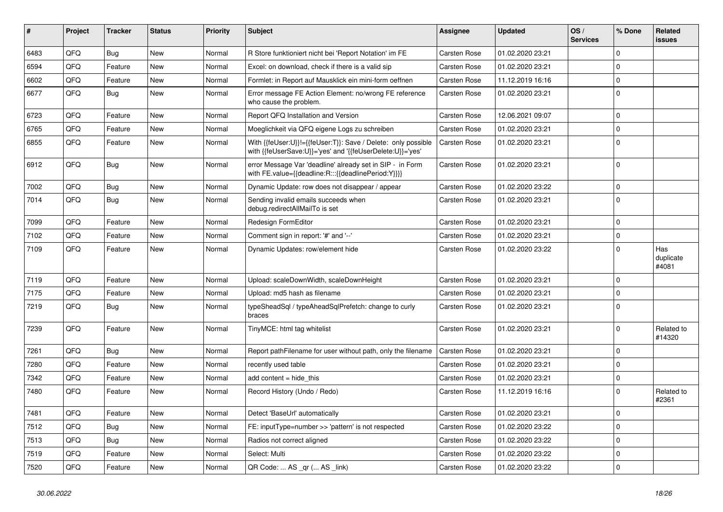| #    | Project | <b>Tracker</b> | <b>Status</b> | <b>Priority</b> | <b>Subject</b>                                                                                                             | <b>Assignee</b>     | <b>Updated</b>   | OS/<br><b>Services</b> | % Done         | Related<br>issues         |
|------|---------|----------------|---------------|-----------------|----------------------------------------------------------------------------------------------------------------------------|---------------------|------------------|------------------------|----------------|---------------------------|
| 6483 | QFQ     | Bug            | <b>New</b>    | Normal          | R Store funktioniert nicht bei 'Report Notation' im FE                                                                     | <b>Carsten Rose</b> | 01.02.2020 23:21 |                        | $\Omega$       |                           |
| 6594 | QFQ     | Feature        | <b>New</b>    | Normal          | Excel: on download, check if there is a valid sip                                                                          | Carsten Rose        | 01.02.2020 23:21 |                        | $\Omega$       |                           |
| 6602 | QFQ     | Feature        | New           | Normal          | Formlet: in Report auf Mausklick ein mini-form oeffnen                                                                     | <b>Carsten Rose</b> | 11.12.2019 16:16 |                        | $\mathbf 0$    |                           |
| 6677 | QFQ     | Bug            | New           | Normal          | Error message FE Action Element: no/wrong FE reference<br>who cause the problem.                                           | Carsten Rose        | 01.02.2020 23:21 |                        | $\mathbf 0$    |                           |
| 6723 | QFQ     | Feature        | New           | Normal          | Report QFQ Installation and Version                                                                                        | Carsten Rose        | 12.06.2021 09:07 |                        | $\Omega$       |                           |
| 6765 | QFQ     | Feature        | New           | Normal          | Moeglichkeit via QFQ eigene Logs zu schreiben                                                                              | <b>Carsten Rose</b> | 01.02.2020 23:21 |                        | $\mathbf 0$    |                           |
| 6855 | QFQ     | Feature        | New           | Normal          | With {{feUser:U}}!={{feUser:T}}: Save / Delete: only possible<br>with {{feUserSave:U}}='yes' and '{{feUserDelete:U}}='yes' | <b>Carsten Rose</b> | 01.02.2020 23:21 |                        | $\mathbf 0$    |                           |
| 6912 | QFQ     | Bug            | New           | Normal          | error Message Var 'deadline' already set in SIP - in Form<br>with FE.value={{deadline:R:::{{deadlinePeriod:Y}}}}           | Carsten Rose        | 01.02.2020 23:21 |                        | $\Omega$       |                           |
| 7002 | QFQ     | <b>Bug</b>     | New           | Normal          | Dynamic Update: row does not disappear / appear                                                                            | Carsten Rose        | 01.02.2020 23:22 |                        | $\Omega$       |                           |
| 7014 | QFQ     | Bug            | New           | Normal          | Sending invalid emails succeeds when<br>debug.redirectAllMailTo is set                                                     | Carsten Rose        | 01.02.2020 23:21 |                        | $\overline{0}$ |                           |
| 7099 | QFQ     | Feature        | New           | Normal          | Redesign FormEditor                                                                                                        | Carsten Rose        | 01.02.2020 23:21 |                        | $\Omega$       |                           |
| 7102 | QFQ     | Feature        | New           | Normal          | Comment sign in report: '#' and '--'                                                                                       | Carsten Rose        | 01.02.2020 23:21 |                        | 0              |                           |
| 7109 | QFQ     | Feature        | New           | Normal          | Dynamic Updates: row/element hide                                                                                          | Carsten Rose        | 01.02.2020 23:22 |                        | $\Omega$       | Has<br>duplicate<br>#4081 |
| 7119 | QFQ     | Feature        | New           | Normal          | Upload: scaleDownWidth, scaleDownHeight                                                                                    | Carsten Rose        | 01.02.2020 23:21 |                        | $\Omega$       |                           |
| 7175 | QFQ     | Feature        | <b>New</b>    | Normal          | Upload: md5 hash as filename                                                                                               | Carsten Rose        | 01.02.2020 23:21 |                        | $\Omega$       |                           |
| 7219 | QFQ     | <b>Bug</b>     | <b>New</b>    | Normal          | typeSheadSql / typeAheadSqlPrefetch: change to curly<br>braces                                                             | Carsten Rose        | 01.02.2020 23:21 |                        | $\Omega$       |                           |
| 7239 | QFQ     | Feature        | <b>New</b>    | Normal          | TinyMCE: html tag whitelist                                                                                                | Carsten Rose        | 01.02.2020 23:21 |                        | $\Omega$       | Related to<br>#14320      |
| 7261 | QFQ     | Bug            | <b>New</b>    | Normal          | Report pathFilename for user without path, only the filename                                                               | <b>Carsten Rose</b> | 01.02.2020 23:21 |                        | $\mathbf 0$    |                           |
| 7280 | QFQ     | Feature        | New           | Normal          | recently used table                                                                                                        | Carsten Rose        | 01.02.2020 23:21 |                        | $\Omega$       |                           |
| 7342 | QFQ     | Feature        | New           | Normal          | add content = hide this                                                                                                    | Carsten Rose        | 01.02.2020 23:21 |                        | $\Omega$       |                           |
| 7480 | QFQ     | Feature        | New           | Normal          | Record History (Undo / Redo)                                                                                               | Carsten Rose        | 11.12.2019 16:16 |                        | $\Omega$       | Related to<br>#2361       |
| 7481 | QFQ     | Feature        | <b>New</b>    | Normal          | Detect 'BaseUrl' automatically                                                                                             | Carsten Rose        | 01.02.2020 23:21 |                        | $\Omega$       |                           |
| 7512 | QFQ     | <b>Bug</b>     | <b>New</b>    | Normal          | FE: inputType=number >> 'pattern' is not respected                                                                         | Carsten Rose        | 01.02.2020 23:22 |                        | $\Omega$       |                           |
| 7513 | QFQ     | <b>Bug</b>     | <b>New</b>    | Normal          | Radios not correct aligned                                                                                                 | <b>Carsten Rose</b> | 01.02.2020 23:22 |                        | $\mathbf 0$    |                           |
| 7519 | QFQ     | Feature        | <b>New</b>    | Normal          | Select: Multi                                                                                                              | <b>Carsten Rose</b> | 01.02.2020 23:22 |                        | $\Omega$       |                           |
| 7520 | QFQ     | Feature        | New           | Normal          | QR Code:  AS _qr ( AS _link)                                                                                               | Carsten Rose        | 01.02.2020 23:22 |                        | l 0            |                           |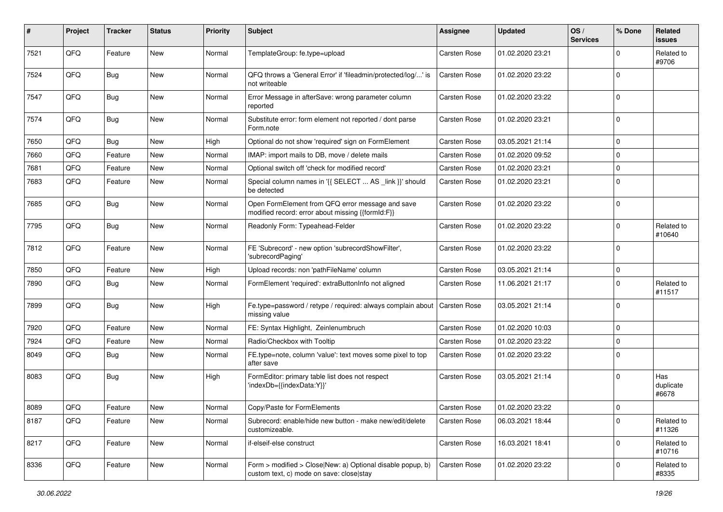| $\sharp$ | Project | <b>Tracker</b> | <b>Status</b> | <b>Priority</b> | Subject                                                                                                | <b>Assignee</b>     | <b>Updated</b>   | OS/<br><b>Services</b> | % Done       | Related<br>issues         |
|----------|---------|----------------|---------------|-----------------|--------------------------------------------------------------------------------------------------------|---------------------|------------------|------------------------|--------------|---------------------------|
| 7521     | QFQ     | Feature        | <b>New</b>    | Normal          | TemplateGroup: fe.type=upload                                                                          | Carsten Rose        | 01.02.2020 23:21 |                        | <sup>0</sup> | Related to<br>#9706       |
| 7524     | QFQ     | <b>Bug</b>     | New           | Normal          | QFQ throws a 'General Error' if 'fileadmin/protected/log/' is<br>not writeable                         | <b>Carsten Rose</b> | 01.02.2020 23:22 |                        | $\Omega$     |                           |
| 7547     | QFQ     | Bug            | <b>New</b>    | Normal          | Error Message in afterSave: wrong parameter column<br>reported                                         | Carsten Rose        | 01.02.2020 23:22 |                        | $\Omega$     |                           |
| 7574     | QFQ     | Bug            | New           | Normal          | Substitute error: form element not reported / dont parse<br>Form.note                                  | Carsten Rose        | 01.02.2020 23:21 |                        | $\mathbf 0$  |                           |
| 7650     | QFQ     | Bug            | <b>New</b>    | High            | Optional do not show 'required' sign on FormElement                                                    | Carsten Rose        | 03.05.2021 21:14 |                        | $\mathbf 0$  |                           |
| 7660     | QFQ     | Feature        | New           | Normal          | IMAP: import mails to DB, move / delete mails                                                          | Carsten Rose        | 01.02.2020 09:52 |                        | $\Omega$     |                           |
| 7681     | QFQ     | Feature        | New           | Normal          | Optional switch off 'check for modified record'                                                        | Carsten Rose        | 01.02.2020 23:21 |                        | $\Omega$     |                           |
| 7683     | QFQ     | Feature        | <b>New</b>    | Normal          | Special column names in '{{ SELECT  AS _link }}' should<br>be detected                                 | Carsten Rose        | 01.02.2020 23:21 |                        | $\Omega$     |                           |
| 7685     | QFQ     | <b>Bug</b>     | New           | Normal          | Open FormElement from QFQ error message and save<br>modified record: error about missing {{formId:F}}  | Carsten Rose        | 01.02.2020 23:22 |                        | l 0          |                           |
| 7795     | QFQ     | <b>Bug</b>     | <b>New</b>    | Normal          | Readonly Form: Typeahead-Felder                                                                        | Carsten Rose        | 01.02.2020 23:22 |                        | $\Omega$     | Related to<br>#10640      |
| 7812     | QFQ     | Feature        | <b>New</b>    | Normal          | FE 'Subrecord' - new option 'subrecordShowFilter',<br>'subrecordPaging'                                | Carsten Rose        | 01.02.2020 23:22 |                        | l 0          |                           |
| 7850     | QFQ     | Feature        | <b>New</b>    | High            | Upload records: non 'pathFileName' column                                                              | Carsten Rose        | 03.05.2021 21:14 |                        | $\mathbf 0$  |                           |
| 7890     | QFQ     | <b>Bug</b>     | <b>New</b>    | Normal          | FormElement 'required': extraButtonInfo not aligned                                                    | Carsten Rose        | 11.06.2021 21:17 |                        | $\Omega$     | Related to<br>#11517      |
| 7899     | QFQ     | Bug            | New           | High            | Fe.type=password / retype / required: always complain about<br>missing value                           | <b>Carsten Rose</b> | 03.05.2021 21:14 |                        | $\Omega$     |                           |
| 7920     | QFQ     | Feature        | <b>New</b>    | Normal          | FE: Syntax Highlight, Zeinlenumbruch                                                                   | Carsten Rose        | 01.02.2020 10:03 |                        | $\Omega$     |                           |
| 7924     | QFQ     | Feature        | <b>New</b>    | Normal          | Radio/Checkbox with Tooltip                                                                            | Carsten Rose        | 01.02.2020 23:22 |                        | $\Omega$     |                           |
| 8049     | QFQ     | <b>Bug</b>     | <b>New</b>    | Normal          | FE.type=note, column 'value': text moves some pixel to top<br>after save                               | Carsten Rose        | 01.02.2020 23:22 |                        | $\Omega$     |                           |
| 8083     | QFQ     | <b>Bug</b>     | <b>New</b>    | High            | FormEditor: primary table list does not respect<br>'indexDb={{indexData:Y}}'                           | Carsten Rose        | 03.05.2021 21:14 |                        | $\Omega$     | Has<br>duplicate<br>#6678 |
| 8089     | QFQ     | Feature        | New           | Normal          | Copy/Paste for FormElements                                                                            | Carsten Rose        | 01.02.2020 23:22 |                        | l O          |                           |
| 8187     | QFQ     | Feature        | New           | Normal          | Subrecord: enable/hide new button - make new/edit/delete<br>customizeable.                             | Carsten Rose        | 06.03.2021 18:44 |                        | $\mathbf 0$  | Related to<br>#11326      |
| 8217     | QFQ     | Feature        | <b>New</b>    | Normal          | if-elseif-else construct                                                                               | Carsten Rose        | 16.03.2021 18:41 |                        | 0            | Related to<br>#10716      |
| 8336     | QFQ     | Feature        | New           | Normal          | Form > modified > Close New: a) Optional disable popup, b)<br>custom text, c) mode on save: close stay | Carsten Rose        | 01.02.2020 23:22 |                        | 0            | Related to<br>#8335       |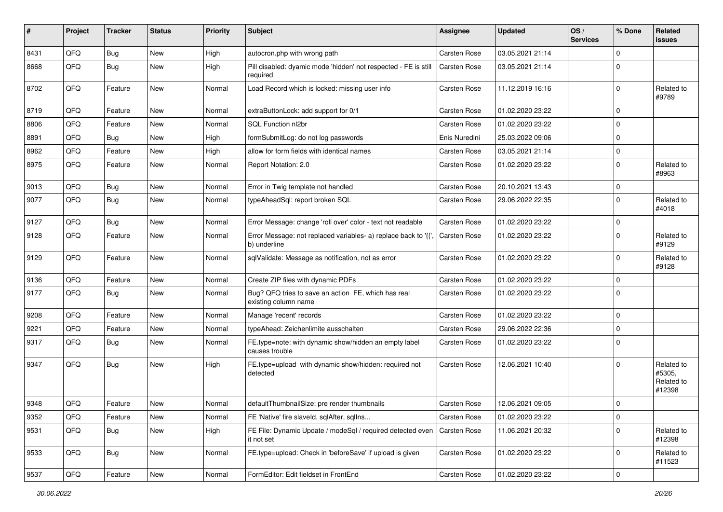| ∦    | Project | <b>Tracker</b> | <b>Status</b> | <b>Priority</b> | Subject                                                                        | Assignee            | <b>Updated</b>   | OS/<br><b>Services</b> | % Done      | Related<br><b>issues</b>                     |
|------|---------|----------------|---------------|-----------------|--------------------------------------------------------------------------------|---------------------|------------------|------------------------|-------------|----------------------------------------------|
| 8431 | QFQ     | Bug            | New           | High            | autocron.php with wrong path                                                   | <b>Carsten Rose</b> | 03.05.2021 21:14 |                        | $\Omega$    |                                              |
| 8668 | QFQ     | <b>Bug</b>     | New           | High            | Pill disabled: dyamic mode 'hidden' not respected - FE is still<br>required    | <b>Carsten Rose</b> | 03.05.2021 21:14 |                        | $\Omega$    |                                              |
| 8702 | QFQ     | Feature        | New           | Normal          | Load Record which is locked: missing user info                                 | <b>Carsten Rose</b> | 11.12.2019 16:16 |                        | 0           | Related to<br>#9789                          |
| 8719 | QFQ     | Feature        | New           | Normal          | extraButtonLock: add support for 0/1                                           | Carsten Rose        | 01.02.2020 23:22 |                        | $\Omega$    |                                              |
| 8806 | QFQ     | Feature        | New           | Normal          | SQL Function nl2br                                                             | <b>Carsten Rose</b> | 01.02.2020 23:22 |                        | $\Omega$    |                                              |
| 8891 | QFQ     | <b>Bug</b>     | New           | High            | formSubmitLog: do not log passwords                                            | Enis Nuredini       | 25.03.2022 09:06 |                        | $\Omega$    |                                              |
| 8962 | QFQ     | Feature        | New           | High            | allow for form fields with identical names                                     | <b>Carsten Rose</b> | 03.05.2021 21:14 |                        | $\Omega$    |                                              |
| 8975 | QFQ     | Feature        | New           | Normal          | Report Notation: 2.0                                                           | Carsten Rose        | 01.02.2020 23:22 |                        | $\Omega$    | Related to<br>#8963                          |
| 9013 | QFQ     | <b>Bug</b>     | New           | Normal          | Error in Twig template not handled                                             | <b>Carsten Rose</b> | 20.10.2021 13:43 |                        | $\mathbf 0$ |                                              |
| 9077 | QFQ     | Bug            | New           | Normal          | typeAheadSql: report broken SQL                                                | <b>Carsten Rose</b> | 29.06.2022 22:35 |                        | $\Omega$    | Related to<br>#4018                          |
| 9127 | QFQ     | <b>Bug</b>     | New           | Normal          | Error Message: change 'roll over' color - text not readable                    | <b>Carsten Rose</b> | 01.02.2020 23:22 |                        | $\mathbf 0$ |                                              |
| 9128 | QFQ     | Feature        | New           | Normal          | Error Message: not replaced variables- a) replace back to '{{'<br>b) underline | Carsten Rose        | 01.02.2020 23:22 |                        | $\Omega$    | Related to<br>#9129                          |
| 9129 | QFQ     | Feature        | New           | Normal          | sqlValidate: Message as notification, not as error                             | Carsten Rose        | 01.02.2020 23:22 |                        | $\Omega$    | Related to<br>#9128                          |
| 9136 | QFQ     | Feature        | New           | Normal          | Create ZIP files with dynamic PDFs                                             | <b>Carsten Rose</b> | 01.02.2020 23:22 |                        | $\mathbf 0$ |                                              |
| 9177 | QFQ     | Bug            | New           | Normal          | Bug? QFQ tries to save an action FE, which has real<br>existing column name    | <b>Carsten Rose</b> | 01.02.2020 23:22 |                        | $\Omega$    |                                              |
| 9208 | QFQ     | Feature        | <b>New</b>    | Normal          | Manage 'recent' records                                                        | <b>Carsten Rose</b> | 01.02.2020 23:22 |                        | $\mathbf 0$ |                                              |
| 9221 | QFQ     | Feature        | New           | Normal          | typeAhead: Zeichenlimite ausschalten                                           | Carsten Rose        | 29.06.2022 22:36 |                        | $\mathbf 0$ |                                              |
| 9317 | QFQ     | Bug            | New           | Normal          | FE.type=note: with dynamic show/hidden an empty label<br>causes trouble        | Carsten Rose        | 01.02.2020 23:22 |                        | 0           |                                              |
| 9347 | QFQ     | <b>Bug</b>     | New           | High            | FE.type=upload with dynamic show/hidden: required not<br>detected              | <b>Carsten Rose</b> | 12.06.2021 10:40 |                        | O           | Related to<br>#5305,<br>Related to<br>#12398 |
| 9348 | QFQ     | Feature        | New           | Normal          | defaultThumbnailSize: pre render thumbnails                                    | <b>Carsten Rose</b> | 12.06.2021 09:05 |                        | 0           |                                              |
| 9352 | QFQ     | Feature        | New           | Normal          | FE 'Native' fire slaveld, sqlAfter, sqlIns                                     | Carsten Rose        | 01.02.2020 23:22 |                        | 0           |                                              |
| 9531 | QFQ     | <b>Bug</b>     | New           | High            | FE File: Dynamic Update / modeSql / required detected even<br>it not set       | <b>Carsten Rose</b> | 11.06.2021 20:32 |                        | 0           | Related to<br>#12398                         |
| 9533 | QFQ     | <b>Bug</b>     | New           | Normal          | FE.type=upload: Check in 'beforeSave' if upload is given                       | Carsten Rose        | 01.02.2020 23:22 |                        | 0           | Related to<br>#11523                         |
| 9537 | QFG     | Feature        | New           | Normal          | FormEditor: Edit fieldset in FrontEnd                                          | Carsten Rose        | 01.02.2020 23:22 |                        | $\mathbf 0$ |                                              |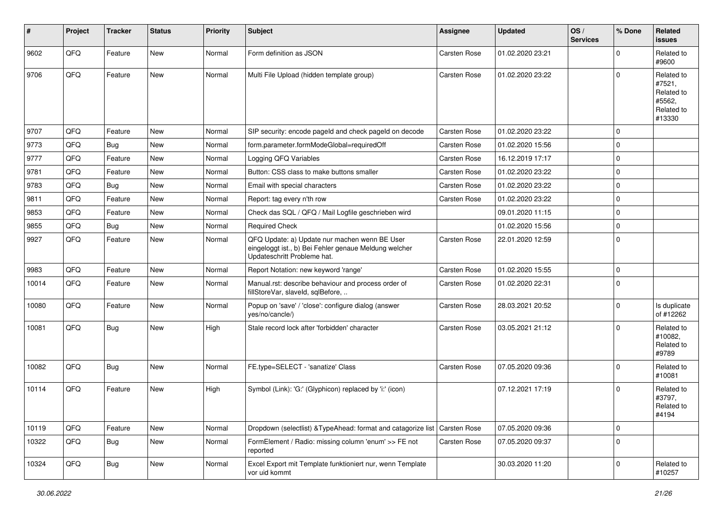| #     | Project | <b>Tracker</b> | <b>Status</b> | <b>Priority</b> | <b>Subject</b>                                                                                                                        | <b>Assignee</b>     | <b>Updated</b>   | OS/<br><b>Services</b> | % Done      | <b>Related</b><br><b>issues</b>                                      |
|-------|---------|----------------|---------------|-----------------|---------------------------------------------------------------------------------------------------------------------------------------|---------------------|------------------|------------------------|-------------|----------------------------------------------------------------------|
| 9602  | QFQ     | Feature        | <b>New</b>    | Normal          | Form definition as JSON                                                                                                               | <b>Carsten Rose</b> | 01.02.2020 23:21 |                        | $\Omega$    | Related to<br>#9600                                                  |
| 9706  | QFQ     | Feature        | New           | Normal          | Multi File Upload (hidden template group)                                                                                             | Carsten Rose        | 01.02.2020 23:22 |                        | $\Omega$    | Related to<br>#7521,<br>Related to<br>#5562,<br>Related to<br>#13330 |
| 9707  | QFQ     | Feature        | <b>New</b>    | Normal          | SIP security: encode pageld and check pageld on decode                                                                                | Carsten Rose        | 01.02.2020 23:22 |                        | $\Omega$    |                                                                      |
| 9773  | QFQ     | Bug            | <b>New</b>    | Normal          | form.parameter.formModeGlobal=requiredOff                                                                                             | <b>Carsten Rose</b> | 01.02.2020 15:56 |                        | $\mathbf 0$ |                                                                      |
| 9777  | QFQ     | Feature        | <b>New</b>    | Normal          | Logging QFQ Variables                                                                                                                 | <b>Carsten Rose</b> | 16.12.2019 17:17 |                        | $\mathbf 0$ |                                                                      |
| 9781  | QFQ     | Feature        | <b>New</b>    | Normal          | Button: CSS class to make buttons smaller                                                                                             | <b>Carsten Rose</b> | 01.02.2020 23:22 |                        | $\mathbf 0$ |                                                                      |
| 9783  | QFQ     | <b>Bug</b>     | <b>New</b>    | Normal          | Email with special characters                                                                                                         | <b>Carsten Rose</b> | 01.02.2020 23:22 |                        | $\Omega$    |                                                                      |
| 9811  | QFQ     | Feature        | <b>New</b>    | Normal          | Report: tag every n'th row                                                                                                            | <b>Carsten Rose</b> | 01.02.2020 23:22 |                        | $\mathbf 0$ |                                                                      |
| 9853  | QFQ     | Feature        | New           | Normal          | Check das SQL / QFQ / Mail Logfile geschrieben wird                                                                                   |                     | 09.01.2020 11:15 |                        | $\mathbf 0$ |                                                                      |
| 9855  | QFQ     | <b>Bug</b>     | New           | Normal          | <b>Required Check</b>                                                                                                                 |                     | 01.02.2020 15:56 |                        | $\Omega$    |                                                                      |
| 9927  | QFQ     | Feature        | <b>New</b>    | Normal          | QFQ Update: a) Update nur machen wenn BE User<br>eingeloggt ist., b) Bei Fehler genaue Meldung welcher<br>Updateschritt Probleme hat. | <b>Carsten Rose</b> | 22.01.2020 12:59 |                        | $\mathbf 0$ |                                                                      |
| 9983  | QFQ     | Feature        | New           | Normal          | Report Notation: new keyword 'range'                                                                                                  | <b>Carsten Rose</b> | 01.02.2020 15:55 |                        | $\mathbf 0$ |                                                                      |
| 10014 | QFQ     | Feature        | <b>New</b>    | Normal          | Manual.rst: describe behaviour and process order of<br>fillStoreVar, slaveId, sqlBefore,                                              | Carsten Rose        | 01.02.2020 22:31 |                        | $\Omega$    |                                                                      |
| 10080 | QFQ     | Feature        | New           | Normal          | Popup on 'save' / 'close': configure dialog (answer<br>yes/no/cancle/)                                                                | Carsten Rose        | 28.03.2021 20:52 |                        | $\Omega$    | Is duplicate<br>of #12262                                            |
| 10081 | QFQ     | Bug            | <b>New</b>    | High            | Stale record lock after 'forbidden' character                                                                                         | Carsten Rose        | 03.05.2021 21:12 |                        | $\Omega$    | Related to<br>#10082,<br>Related to<br>#9789                         |
| 10082 | QFQ     | <b>Bug</b>     | <b>New</b>    | Normal          | FE.type=SELECT - 'sanatize' Class                                                                                                     | <b>Carsten Rose</b> | 07.05.2020 09:36 |                        | $\Omega$    | Related to<br>#10081                                                 |
| 10114 | QFQ     | Feature        | <b>New</b>    | High            | Symbol (Link): 'G:' (Glyphicon) replaced by 'i:' (icon)                                                                               |                     | 07.12.2021 17:19 |                        | $\Omega$    | Related to<br>#3797,<br>Related to<br>#4194                          |
| 10119 | QFQ     | Feature        | New           | Normal          | Dropdown (selectlist) & TypeAhead: format and catagorize list                                                                         | Carsten Rose        | 07.05.2020 09:36 |                        | $\mathbf 0$ |                                                                      |
| 10322 | QFQ     | Bug            | New           | Normal          | FormElement / Radio: missing column 'enum' >> FE not<br>reported                                                                      | Carsten Rose        | 07.05.2020 09:37 |                        | 0           |                                                                      |
| 10324 | QFQ     | <b>Bug</b>     | New           | Normal          | Excel Export mit Template funktioniert nur, wenn Template<br>vor uid kommt                                                            |                     | 30.03.2020 11:20 |                        | $\mathbf 0$ | Related to<br>#10257                                                 |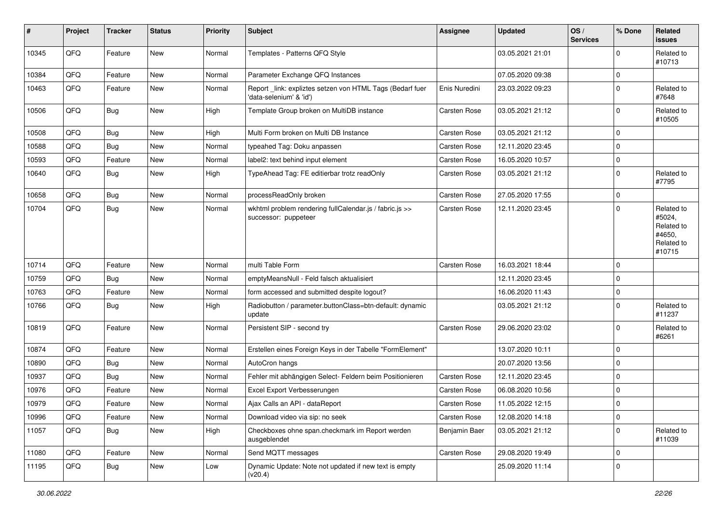| ∦     | Project | <b>Tracker</b> | <b>Status</b> | <b>Priority</b> | <b>Subject</b>                                                                       | <b>Assignee</b>     | <b>Updated</b>   | OS/<br><b>Services</b> | % Done      | Related<br><b>issues</b>                                             |
|-------|---------|----------------|---------------|-----------------|--------------------------------------------------------------------------------------|---------------------|------------------|------------------------|-------------|----------------------------------------------------------------------|
| 10345 | QFQ     | Feature        | New           | Normal          | Templates - Patterns QFQ Style                                                       |                     | 03.05.2021 21:01 |                        | $\Omega$    | Related to<br>#10713                                                 |
| 10384 | QFQ     | Feature        | New           | Normal          | Parameter Exchange QFQ Instances                                                     |                     | 07.05.2020 09:38 |                        | $\mathbf 0$ |                                                                      |
| 10463 | QFQ     | Feature        | New           | Normal          | Report _link: expliztes setzen von HTML Tags (Bedarf fuer<br>'data-selenium' & 'id') | Enis Nuredini       | 23.03.2022 09:23 |                        | $\Omega$    | Related to<br>#7648                                                  |
| 10506 | QFQ     | <b>Bug</b>     | New           | High            | Template Group broken on MultiDB instance                                            | <b>Carsten Rose</b> | 03.05.2021 21:12 |                        | $\mathbf 0$ | Related to<br>#10505                                                 |
| 10508 | QFQ     | <b>Bug</b>     | New           | High            | Multi Form broken on Multi DB Instance                                               | Carsten Rose        | 03.05.2021 21:12 |                        | $\mathbf 0$ |                                                                      |
| 10588 | QFQ     | <b>Bug</b>     | New           | Normal          | typeahed Tag: Doku anpassen                                                          | <b>Carsten Rose</b> | 12.11.2020 23:45 |                        | $\mathbf 0$ |                                                                      |
| 10593 | QFQ     | Feature        | New           | Normal          | label2: text behind input element                                                    | Carsten Rose        | 16.05.2020 10:57 |                        | $\Omega$    |                                                                      |
| 10640 | QFQ     | Bug            | New           | High            | TypeAhead Tag: FE editierbar trotz readOnly                                          | Carsten Rose        | 03.05.2021 21:12 |                        | $\Omega$    | Related to<br>#7795                                                  |
| 10658 | QFQ     | <b>Bug</b>     | New           | Normal          | processReadOnly broken                                                               | Carsten Rose        | 27.05.2020 17:55 |                        | $\Omega$    |                                                                      |
| 10704 | QFQ     | <b>Bug</b>     | New           | Normal          | wkhtml problem rendering fullCalendar.js / fabric.js >><br>successor: puppeteer      | <b>Carsten Rose</b> | 12.11.2020 23:45 |                        | $\Omega$    | Related to<br>#5024,<br>Related to<br>#4650,<br>Related to<br>#10715 |
| 10714 | QFQ     | Feature        | New           | Normal          | multi Table Form                                                                     | <b>Carsten Rose</b> | 16.03.2021 18:44 |                        | $\Omega$    |                                                                      |
| 10759 | QFQ     | Bug            | <b>New</b>    | Normal          | emptyMeansNull - Feld falsch aktualisiert                                            |                     | 12.11.2020 23:45 |                        | $\Omega$    |                                                                      |
| 10763 | QFQ     | Feature        | New           | Normal          | form accessed and submitted despite logout?                                          |                     | 16.06.2020 11:43 |                        | $\mathbf 0$ |                                                                      |
| 10766 | QFQ     | Bug            | New           | High            | Radiobutton / parameter.buttonClass=btn-default: dynamic<br>update                   |                     | 03.05.2021 21:12 |                        | $\Omega$    | Related to<br>#11237                                                 |
| 10819 | QFQ     | Feature        | New           | Normal          | Persistent SIP - second try                                                          | <b>Carsten Rose</b> | 29.06.2020 23:02 |                        | $\Omega$    | Related to<br>#6261                                                  |
| 10874 | QFQ     | Feature        | New           | Normal          | Erstellen eines Foreign Keys in der Tabelle "FormElement"                            |                     | 13.07.2020 10:11 |                        | $\Omega$    |                                                                      |
| 10890 | QFQ     | Bug            | New           | Normal          | AutoCron hangs                                                                       |                     | 20.07.2020 13:56 |                        | $\mathbf 0$ |                                                                      |
| 10937 | QFQ     | Bug            | New           | Normal          | Fehler mit abhängigen Select- Feldern beim Positionieren                             | <b>Carsten Rose</b> | 12.11.2020 23:45 |                        | $\Omega$    |                                                                      |
| 10976 | QFQ     | Feature        | New           | Normal          | Excel Export Verbesserungen                                                          | Carsten Rose        | 06.08.2020 10:56 |                        | $\Omega$    |                                                                      |
| 10979 | QFQ     | Feature        | New           | Normal          | Ajax Calls an API - dataReport                                                       | Carsten Rose        | 11.05.2022 12:15 |                        | $\Omega$    |                                                                      |
| 10996 | QFQ     | Feature        | New           | Normal          | Download video via sip: no seek                                                      | Carsten Rose        | 12.08.2020 14:18 |                        | 0           |                                                                      |
| 11057 | QFQ     | <b>Bug</b>     | New           | High            | Checkboxes ohne span.checkmark im Report werden<br>ausgeblendet                      | Benjamin Baer       | 03.05.2021 21:12 |                        | $\mathbf 0$ | Related to<br>#11039                                                 |
| 11080 | QFQ     | Feature        | New           | Normal          | Send MQTT messages                                                                   | Carsten Rose        | 29.08.2020 19:49 |                        | $\mathbf 0$ |                                                                      |
| 11195 | QFQ     | Bug            | New           | Low             | Dynamic Update: Note not updated if new text is empty<br>(v20.4)                     |                     | 25.09.2020 11:14 |                        | 0           |                                                                      |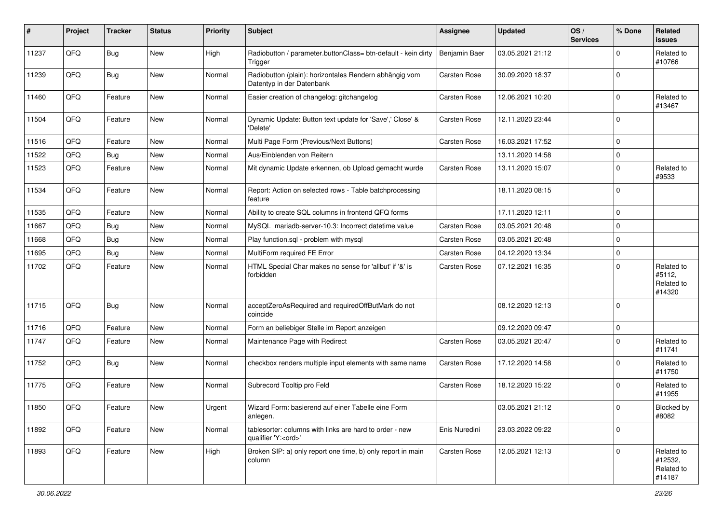| #     | Project | <b>Tracker</b> | <b>Status</b> | <b>Priority</b> | <b>Subject</b>                                                                        | <b>Assignee</b>     | <b>Updated</b>   | OS/<br><b>Services</b> | % Done      | Related<br><b>issues</b>                      |
|-------|---------|----------------|---------------|-----------------|---------------------------------------------------------------------------------------|---------------------|------------------|------------------------|-------------|-----------------------------------------------|
| 11237 | QFQ     | Bug            | <b>New</b>    | High            | Radiobutton / parameter.buttonClass= btn-default - kein dirty<br>Trigger              | Benjamin Baer       | 03.05.2021 21:12 |                        | $\Omega$    | Related to<br>#10766                          |
| 11239 | QFQ     | <b>Bug</b>     | New           | Normal          | Radiobutton (plain): horizontales Rendern abhängig vom<br>Datentyp in der Datenbank   | <b>Carsten Rose</b> | 30.09.2020 18:37 |                        | $\Omega$    |                                               |
| 11460 | QFQ     | Feature        | <b>New</b>    | Normal          | Easier creation of changelog: gitchangelog                                            | Carsten Rose        | 12.06.2021 10:20 |                        | $\Omega$    | Related to<br>#13467                          |
| 11504 | QFQ     | Feature        | <b>New</b>    | Normal          | Dynamic Update: Button text update for 'Save',' Close' &<br>'Delete'                  | Carsten Rose        | 12.11.2020 23:44 |                        | $\Omega$    |                                               |
| 11516 | QFQ     | Feature        | <b>New</b>    | Normal          | Multi Page Form (Previous/Next Buttons)                                               | <b>Carsten Rose</b> | 16.03.2021 17:52 |                        | $\mathbf 0$ |                                               |
| 11522 | QFQ     | <b>Bug</b>     | New           | Normal          | Aus/Einblenden von Reitern                                                            |                     | 13.11.2020 14:58 |                        | $\mathbf 0$ |                                               |
| 11523 | QFQ     | Feature        | New           | Normal          | Mit dynamic Update erkennen, ob Upload gemacht wurde                                  | <b>Carsten Rose</b> | 13.11.2020 15:07 |                        | $\Omega$    | Related to<br>#9533                           |
| 11534 | QFQ     | Feature        | <b>New</b>    | Normal          | Report: Action on selected rows - Table batchprocessing<br>feature                    |                     | 18.11.2020 08:15 |                        | $\mathbf 0$ |                                               |
| 11535 | QFQ     | Feature        | <b>New</b>    | Normal          | Ability to create SQL columns in frontend QFQ forms                                   |                     | 17.11.2020 12:11 |                        | $\mathbf 0$ |                                               |
| 11667 | QFQ     | <b>Bug</b>     | New           | Normal          | MySQL mariadb-server-10.3: Incorrect datetime value                                   | <b>Carsten Rose</b> | 03.05.2021 20:48 |                        | 0           |                                               |
| 11668 | QFQ     | <b>Bug</b>     | <b>New</b>    | Normal          | Play function.sql - problem with mysql                                                | <b>Carsten Rose</b> | 03.05.2021 20:48 |                        | $\mathbf 0$ |                                               |
| 11695 | QFQ     | <b>Bug</b>     | New           | Normal          | MultiForm required FE Error                                                           | <b>Carsten Rose</b> | 04.12.2020 13:34 |                        | $\mathbf 0$ |                                               |
| 11702 | QFQ     | Feature        | New           | Normal          | HTML Special Char makes no sense for 'allbut' if '&' is<br>forbidden                  | <b>Carsten Rose</b> | 07.12.2021 16:35 |                        | $\Omega$    | Related to<br>#5112,<br>Related to<br>#14320  |
| 11715 | QFQ     | <b>Bug</b>     | New           | Normal          | acceptZeroAsRequired and requiredOffButMark do not<br>coincide                        |                     | 08.12.2020 12:13 |                        | $\Omega$    |                                               |
| 11716 | QFQ     | Feature        | <b>New</b>    | Normal          | Form an beliebiger Stelle im Report anzeigen                                          |                     | 09.12.2020 09:47 |                        | $\mathbf 0$ |                                               |
| 11747 | QFQ     | Feature        | <b>New</b>    | Normal          | Maintenance Page with Redirect                                                        | <b>Carsten Rose</b> | 03.05.2021 20:47 |                        | $\Omega$    | Related to<br>#11741                          |
| 11752 | QFQ     | <b>Bug</b>     | <b>New</b>    | Normal          | checkbox renders multiple input elements with same name                               | <b>Carsten Rose</b> | 17.12.2020 14:58 |                        | $\mathbf 0$ | Related to<br>#11750                          |
| 11775 | QFQ     | Feature        | <b>New</b>    | Normal          | Subrecord Tooltip pro Feld                                                            | <b>Carsten Rose</b> | 18.12.2020 15:22 |                        | $\Omega$    | Related to<br>#11955                          |
| 11850 | QFQ     | Feature        | New           | Urgent          | Wizard Form: basierend auf einer Tabelle eine Form<br>anlegen.                        |                     | 03.05.2021 21:12 |                        | $\Omega$    | Blocked by<br>#8082                           |
| 11892 | QFQ     | Feature        | New           | Normal          | tablesorter: columns with links are hard to order - new<br>qualifier 'Y: <ord>'</ord> | Enis Nuredini       | 23.03.2022 09:22 |                        | 0           |                                               |
| 11893 | QFQ     | Feature        | New           | High            | Broken SIP: a) only report one time, b) only report in main<br>column                 | Carsten Rose        | 12.05.2021 12:13 |                        | $\mathbf 0$ | Related to<br>#12532,<br>Related to<br>#14187 |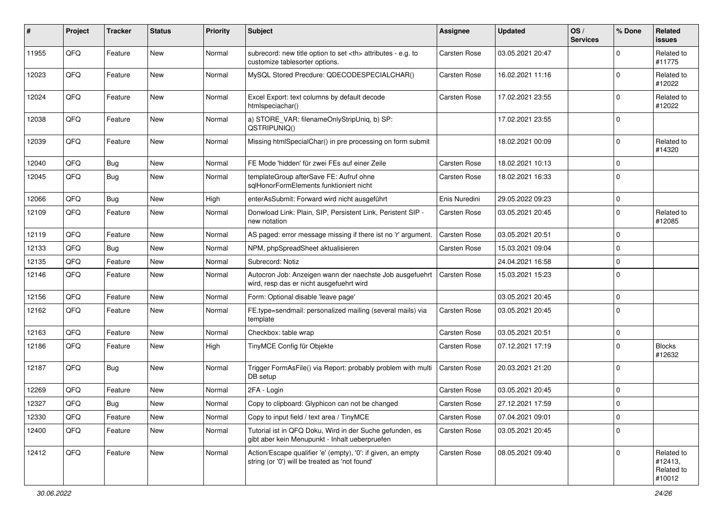| #     | Project | <b>Tracker</b> | <b>Status</b> | <b>Priority</b> | <b>Subject</b>                                                                                                 | <b>Assignee</b>                                        | <b>Updated</b>      | OS/<br><b>Services</b> | % Done         | Related<br><b>issues</b>                      |                      |
|-------|---------|----------------|---------------|-----------------|----------------------------------------------------------------------------------------------------------------|--------------------------------------------------------|---------------------|------------------------|----------------|-----------------------------------------------|----------------------|
| 11955 | QFQ     | Feature        | New           | Normal          | subrecord: new title option to set <th> attributes - e.g. to<br/>customize tablesorter options.</th>           | attributes - e.g. to<br>customize tablesorter options. | <b>Carsten Rose</b> | 03.05.2021 20:47       |                | O                                             | Related to<br>#11775 |
| 12023 | QFQ     | Feature        | New           | Normal          | MySQL Stored Precdure: QDECODESPECIALCHAR()                                                                    | <b>Carsten Rose</b>                                    | 16.02.2021 11:16    |                        | $\mathbf 0$    | Related to<br>#12022                          |                      |
| 12024 | QFQ     | Feature        | <b>New</b>    | Normal          | Excel Export: text columns by default decode<br>htmlspeciachar()                                               | Carsten Rose                                           | 17.02.2021 23:55    |                        | $\Omega$       | Related to<br>#12022                          |                      |
| 12038 | QFQ     | Feature        | New           | Normal          | a) STORE VAR: filenameOnlyStripUniq, b) SP:<br>QSTRIPUNIQ()                                                    |                                                        | 17.02.2021 23:55    |                        | $\mathbf 0$    |                                               |                      |
| 12039 | QFQ     | Feature        | <b>New</b>    | Normal          | Missing htmlSpecialChar() in pre processing on form submit                                                     |                                                        | 18.02.2021 00:09    |                        | $\mathbf 0$    | Related to<br>#14320                          |                      |
| 12040 | QFQ     | Bug            | New           | Normal          | FE Mode 'hidden' für zwei FEs auf einer Zeile                                                                  | <b>Carsten Rose</b>                                    | 18.02.2021 10:13    |                        | $\mathbf 0$    |                                               |                      |
| 12045 | QFQ     | <b>Bug</b>     | <b>New</b>    | Normal          | templateGroup afterSave FE: Aufruf ohne<br>sglHonorFormElements funktioniert nicht                             | Carsten Rose                                           | 18.02.2021 16:33    |                        | $\overline{0}$ |                                               |                      |
| 12066 | QFQ     | <b>Bug</b>     | <b>New</b>    | High            | enterAsSubmit: Forward wird nicht ausgeführt                                                                   | Enis Nuredini                                          | 29.05.2022 09:23    |                        | $\mathbf 0$    |                                               |                      |
| 12109 | QFQ     | Feature        | <b>New</b>    | Normal          | Donwload Link: Plain, SIP, Persistent Link, Peristent SIP -<br>new notation                                    | Carsten Rose                                           | 03.05.2021 20:45    |                        | $\Omega$       | Related to<br>#12085                          |                      |
| 12119 | QFQ     | Feature        | <b>New</b>    | Normal          | AS paged: error message missing if there ist no 'r' argument.                                                  | <b>Carsten Rose</b>                                    | 03.05.2021 20:51    |                        | $\mathbf 0$    |                                               |                      |
| 12133 | QFQ     | Bug            | <b>New</b>    | Normal          | NPM, phpSpreadSheet aktualisieren                                                                              | Carsten Rose                                           | 15.03.2021 09:04    |                        | $\mathbf 0$    |                                               |                      |
| 12135 | QFQ     | Feature        | <b>New</b>    | Normal          | Subrecord: Notiz                                                                                               |                                                        | 24.04.2021 16:58    |                        | $\mathbf 0$    |                                               |                      |
| 12146 | QFQ     | Feature        | <b>New</b>    | Normal          | Autocron Job: Anzeigen wann der naechste Job ausgefuehrt<br>wird, resp das er nicht ausgefuehrt wird           | <b>Carsten Rose</b>                                    | 15.03.2021 15:23    |                        | $\Omega$       |                                               |                      |
| 12156 | QFQ     | Feature        | <b>New</b>    | Normal          | Form: Optional disable 'leave page'                                                                            |                                                        | 03.05.2021 20:45    |                        | $\mathbf 0$    |                                               |                      |
| 12162 | QFQ     | Feature        | <b>New</b>    | Normal          | FE.type=sendmail: personalized mailing (several mails) via<br>template                                         | Carsten Rose                                           | 03.05.2021 20:45    |                        | $\Omega$       |                                               |                      |
| 12163 | QFQ     | Feature        | <b>New</b>    | Normal          | Checkbox: table wrap                                                                                           | <b>Carsten Rose</b>                                    | 03.05.2021 20:51    |                        | 0              |                                               |                      |
| 12186 | QFQ     | Feature        | New           | High            | TinyMCE Config für Objekte                                                                                     | Carsten Rose                                           | 07.12.2021 17:19    |                        | $\mathbf 0$    | <b>Blocks</b><br>#12632                       |                      |
| 12187 | QFQ     | <b>Bug</b>     | <b>New</b>    | Normal          | Trigger FormAsFile() via Report: probably problem with multi<br>DB setup                                       | <b>Carsten Rose</b>                                    | 20.03.2021 21:20    |                        | $\Omega$       |                                               |                      |
| 12269 | QFQ     | Feature        | <b>New</b>    | Normal          | 2FA - Login                                                                                                    | <b>Carsten Rose</b>                                    | 03.05.2021 20:45    |                        | $\mathbf 0$    |                                               |                      |
| 12327 | QFQ     | Bug            | New           | Normal          | Copy to clipboard: Glyphicon can not be changed                                                                | Carsten Rose                                           | 27.12.2021 17:59    |                        | $\Omega$       |                                               |                      |
| 12330 | QFQ     | Feature        | New           | Normal          | Copy to input field / text area / TinyMCE                                                                      | Carsten Rose                                           | 07.04.2021 09:01    |                        | 0              |                                               |                      |
| 12400 | QFQ     | Feature        | New           | Normal          | Tutorial ist in QFQ Doku, Wird in der Suche gefunden, es<br>gibt aber kein Menupunkt - Inhalt ueberpruefen     | Carsten Rose                                           | 03.05.2021 20:45    |                        | 0              |                                               |                      |
| 12412 | QFQ     | Feature        | New           | Normal          | Action/Escape qualifier 'e' (empty), '0': if given, an empty<br>string (or '0') will be treated as 'not found' | <b>Carsten Rose</b>                                    | 08.05.2021 09:40    |                        | $\Omega$       | Related to<br>#12413,<br>Related to<br>#10012 |                      |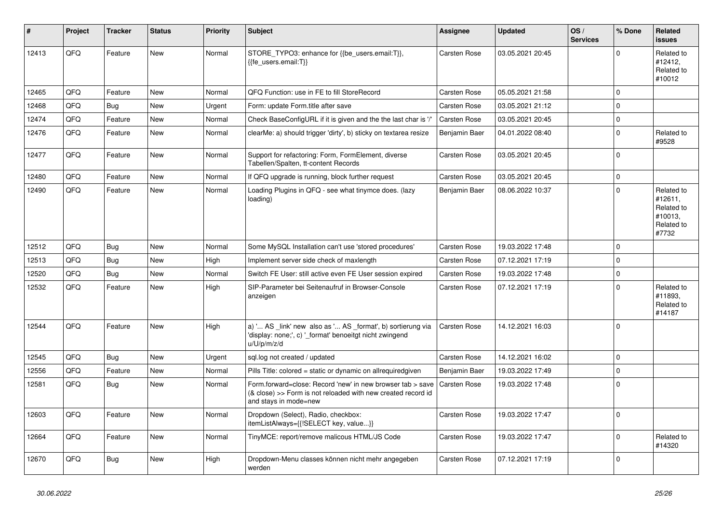| #     | Project | <b>Tracker</b> | <b>Status</b> | <b>Priority</b> | <b>Subject</b>                                                                                                                                      | <b>Assignee</b>     | <b>Updated</b>   | OS/<br><b>Services</b> | % Done         | Related<br><b>issues</b>                                              |
|-------|---------|----------------|---------------|-----------------|-----------------------------------------------------------------------------------------------------------------------------------------------------|---------------------|------------------|------------------------|----------------|-----------------------------------------------------------------------|
| 12413 | QFQ     | Feature        | <b>New</b>    | Normal          | STORE_TYPO3: enhance for {{be_users.email:T}},<br>{{fe users.email:T}}                                                                              | <b>Carsten Rose</b> | 03.05.2021 20:45 |                        | $\Omega$       | Related to<br>#12412,<br>Related to<br>#10012                         |
| 12465 | QFQ     | Feature        | <b>New</b>    | Normal          | QFQ Function: use in FE to fill StoreRecord                                                                                                         | Carsten Rose        | 05.05.2021 21:58 |                        | $\Omega$       |                                                                       |
| 12468 | QFQ     | <b>Bug</b>     | <b>New</b>    | Urgent          | Form: update Form.title after save                                                                                                                  | <b>Carsten Rose</b> | 03.05.2021 21:12 |                        | $\Omega$       |                                                                       |
| 12474 | QFQ     | Feature        | <b>New</b>    | Normal          | Check BaseConfigURL if it is given and the the last char is '/'                                                                                     | <b>Carsten Rose</b> | 03.05.2021 20:45 |                        | $\Omega$       |                                                                       |
| 12476 | QFQ     | Feature        | <b>New</b>    | Normal          | clearMe: a) should trigger 'dirty', b) sticky on textarea resize                                                                                    | Benjamin Baer       | 04.01.2022 08:40 |                        | $\Omega$       | Related to<br>#9528                                                   |
| 12477 | QFQ     | Feature        | New           | Normal          | Support for refactoring: Form, FormElement, diverse<br>Tabellen/Spalten, tt-content Records                                                         | <b>Carsten Rose</b> | 03.05.2021 20:45 |                        | $\Omega$       |                                                                       |
| 12480 | QFQ     | Feature        | New           | Normal          | If QFQ upgrade is running, block further request                                                                                                    | <b>Carsten Rose</b> | 03.05.2021 20:45 |                        | $\mathbf 0$    |                                                                       |
| 12490 | QFQ     | Feature        | New           | Normal          | Loading Plugins in QFQ - see what tinymce does. (lazy<br>loading)                                                                                   | Benjamin Baer       | 08.06.2022 10:37 |                        | $\Omega$       | Related to<br>#12611,<br>Related to<br>#10013,<br>Related to<br>#7732 |
| 12512 | QFQ     | Bug            | <b>New</b>    | Normal          | Some MySQL Installation can't use 'stored procedures'                                                                                               | Carsten Rose        | 19.03.2022 17:48 |                        | $\Omega$       |                                                                       |
| 12513 | QFQ     | Bug            | <b>New</b>    | High            | Implement server side check of maxlength                                                                                                            | <b>Carsten Rose</b> | 07.12.2021 17:19 |                        | $\mathbf 0$    |                                                                       |
| 12520 | QFQ     | <b>Bug</b>     | New           | Normal          | Switch FE User: still active even FE User session expired                                                                                           | <b>Carsten Rose</b> | 19.03.2022 17:48 |                        | $\mathsf 0$    |                                                                       |
| 12532 | QFQ     | Feature        | New           | High            | SIP-Parameter bei Seitenaufruf in Browser-Console<br>anzeigen                                                                                       | <b>Carsten Rose</b> | 07.12.2021 17:19 |                        | $\mathbf 0$    | Related to<br>#11893,<br>Related to<br>#14187                         |
| 12544 | QFQ     | Feature        | <b>New</b>    | High            | a) ' AS _link' new also as ' AS _format', b) sortierung via<br>'display: none;', c) ' format' benoeitgt nicht zwingend<br>u/U/p/m/z/d               | <b>Carsten Rose</b> | 14.12.2021 16:03 |                        | $\overline{0}$ |                                                                       |
| 12545 | QFQ     | Bug            | <b>New</b>    | Urgent          | sql.log not created / updated                                                                                                                       | <b>Carsten Rose</b> | 14.12.2021 16:02 |                        | $\mathbf 0$    |                                                                       |
| 12556 | QFQ     | Feature        | New           | Normal          | Pills Title: colored = static or dynamic on allrequiredgiven                                                                                        | Benjamin Baer       | 19.03.2022 17:49 |                        | $\mathbf 0$    |                                                                       |
| 12581 | QFQ     | Bug            | New           | Normal          | Form.forward=close: Record 'new' in new browser tab > save<br>(& close) >> Form is not reloaded with new created record id<br>and stays in mode=new | <b>Carsten Rose</b> | 19.03.2022 17:48 |                        | $\mathbf 0$    |                                                                       |
| 12603 | QFQ     | Feature        | New           | Normal          | Dropdown (Select), Radio, checkbox:<br>itemListAlways={{!SELECT key, value}}                                                                        | Carsten Rose        | 19.03.2022 17:47 |                        | $\Omega$       |                                                                       |
| 12664 | QFQ     | Feature        | <b>New</b>    | Normal          | TinyMCE: report/remove malicous HTML/JS Code                                                                                                        | Carsten Rose        | 19.03.2022 17:47 |                        | $\Omega$       | Related to<br>#14320                                                  |
| 12670 | QFQ     | Bug            | New           | High            | Dropdown-Menu classes können nicht mehr angegeben<br>werden                                                                                         | <b>Carsten Rose</b> | 07.12.2021 17:19 |                        | $\Omega$       |                                                                       |